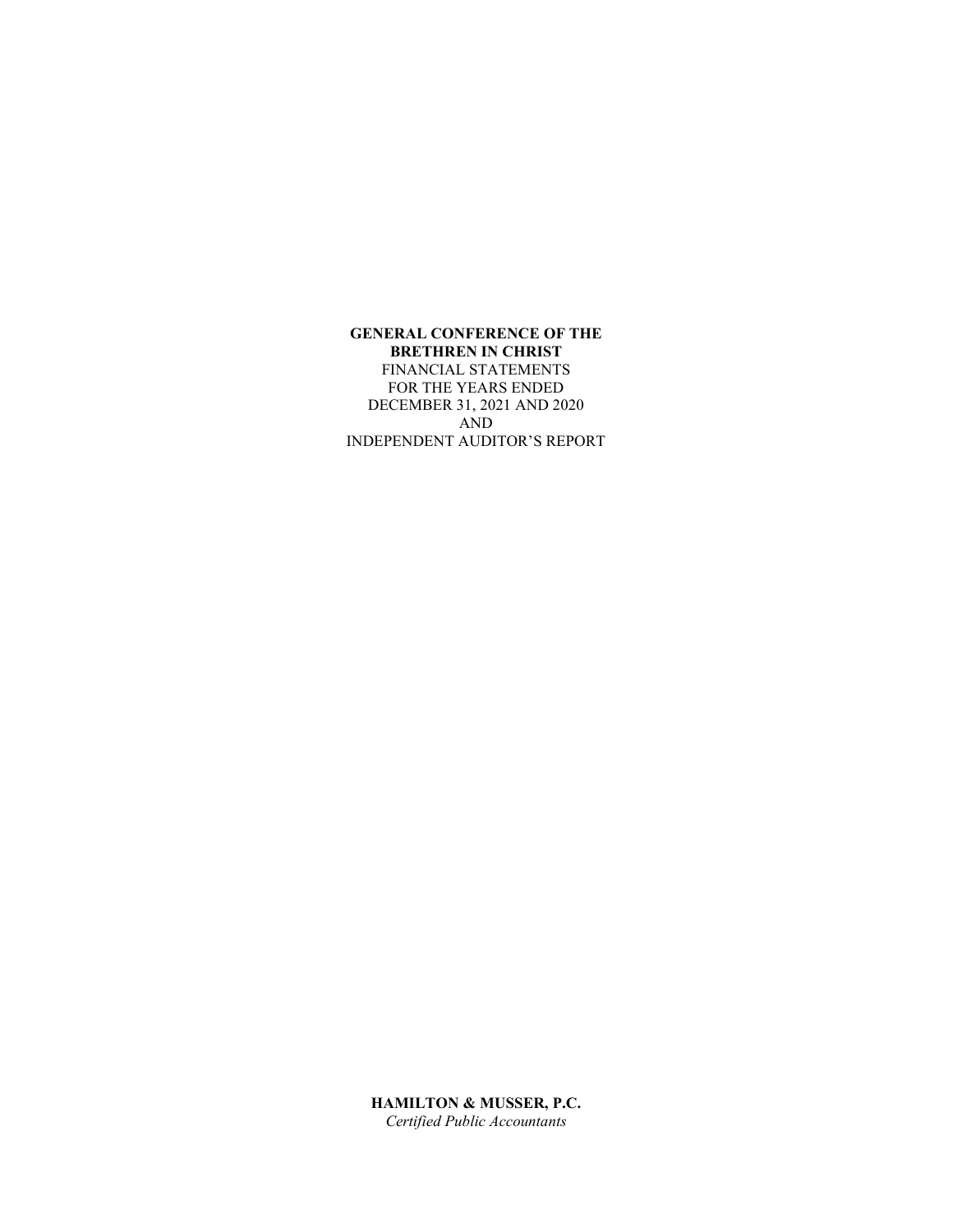# **GENERAL CONFERENCE OF THE BRETHREN IN CHRIST** FINANCIAL STATEMENTS FOR THE YEARS ENDED DECEMBER 31, 2021 AND 2020 AND INDEPENDENT AUDITOR'S REPORT

**HAMILTON & MUSSER, P.C.** *Certified Public Accountants*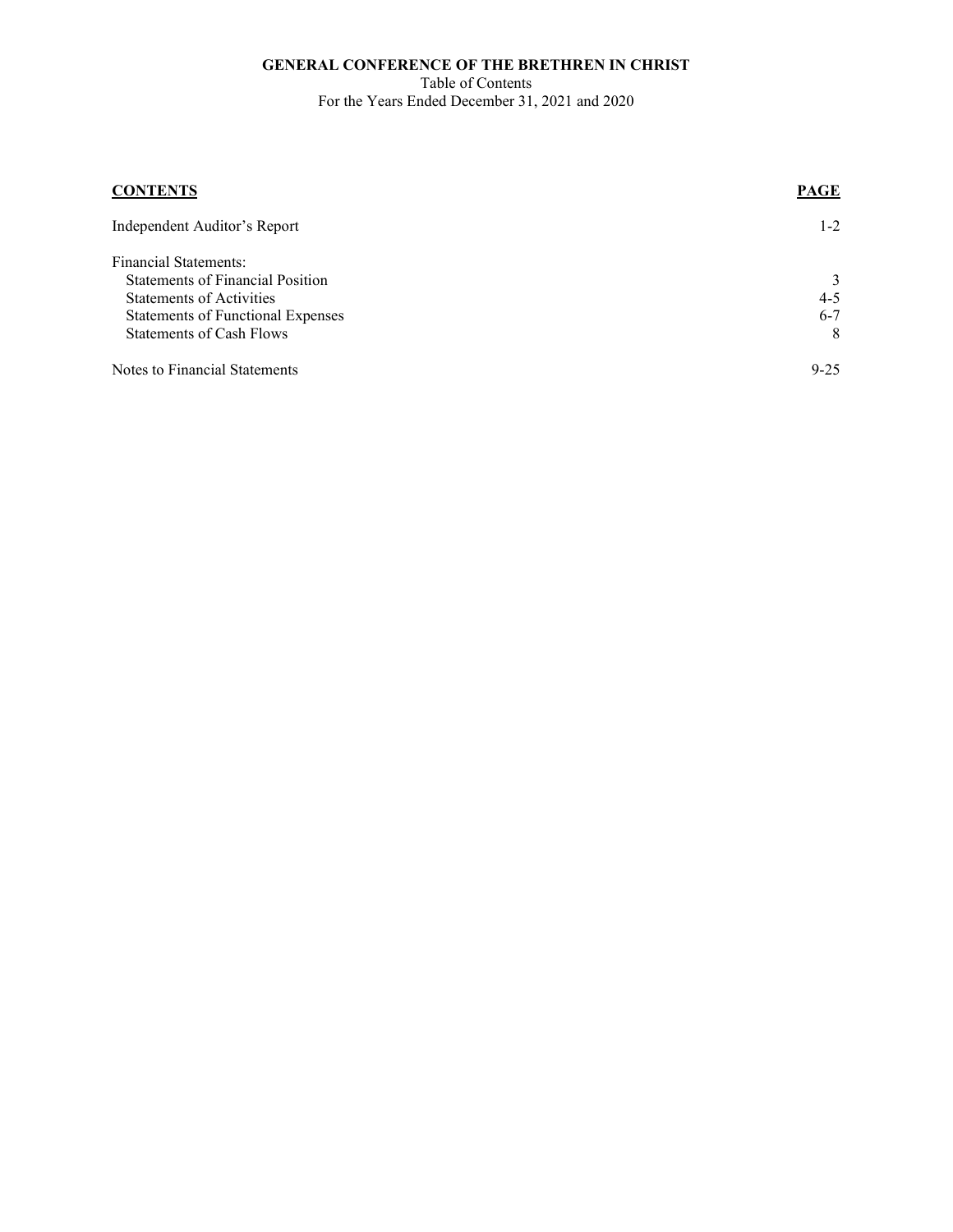### Table of Contents For the Years Ended December 31, 2021 and 2020

| <b>CONTENTS</b>                          | <b>PAGE</b> |
|------------------------------------------|-------------|
| Independent Auditor's Report             | $1 - 2$     |
| <b>Financial Statements:</b>             |             |
| <b>Statements of Financial Position</b>  | 3           |
| <b>Statements of Activities</b>          | $4 - 5$     |
| <b>Statements of Functional Expenses</b> | $6 - 7$     |
| Statements of Cash Flows                 | 8           |
| Notes to Financial Statements            | $9 - 25$    |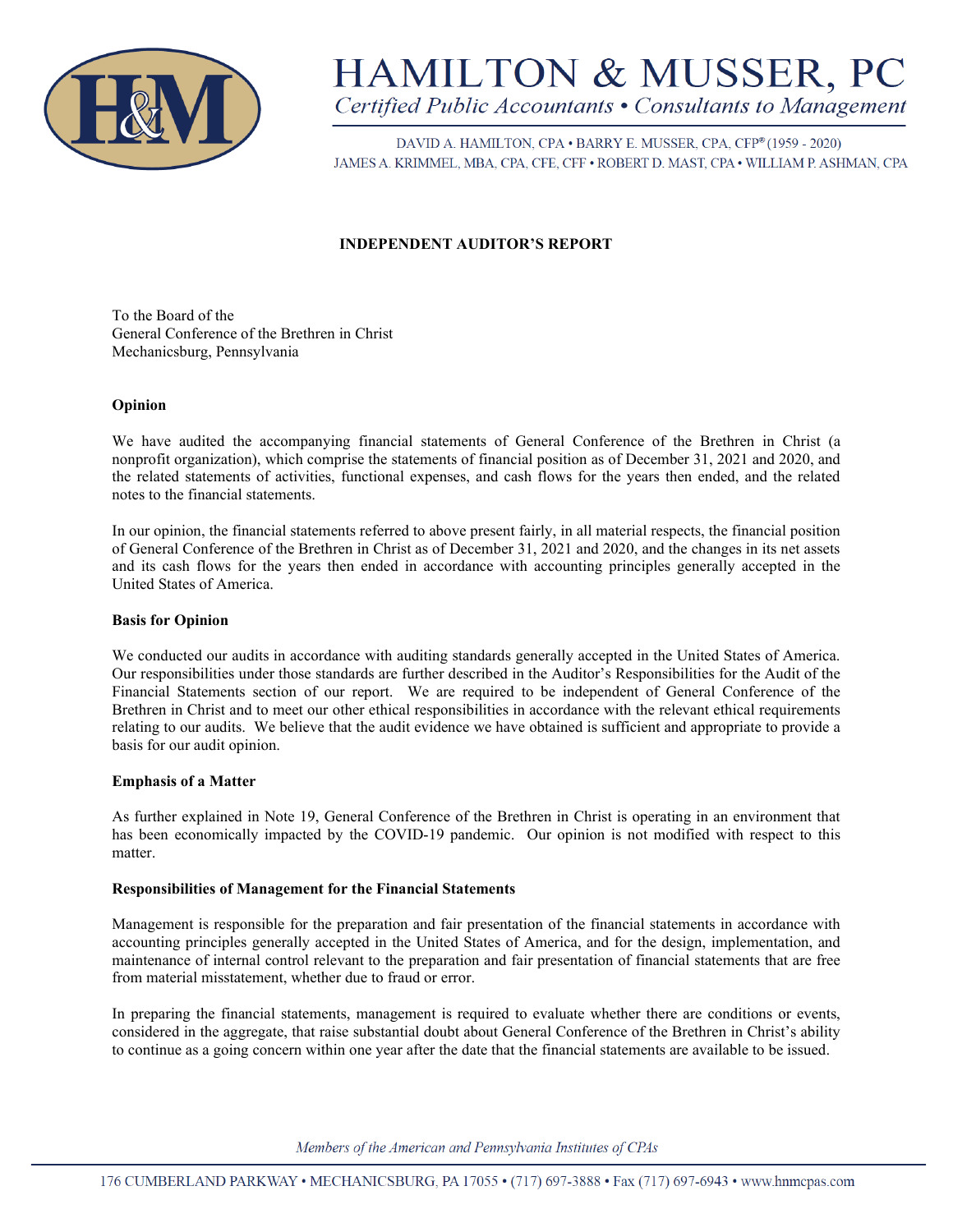

# **HAMILTON & MUSSER, PC** Certified Public Accountants • Consultants to Management

DAVID A. HAMILTON, CPA . BARRY E. MUSSER, CPA, CFP® (1959 - 2020) JAMES A. KRIMMEL, MBA, CPA, CFE, CFF . ROBERT D. MAST, CPA . WILLIAM P. ASHMAN, CPA

# **INDEPENDENT AUDITOR'S REPORT**

To the Board of the General Conference of the Brethren in Christ Mechanicsburg, Pennsylvania

### **Opinion**

We have audited the accompanying financial statements of General Conference of the Brethren in Christ (a nonprofit organization), which comprise the statements of financial position as of December 31, 2021 and 2020, and the related statements of activities, functional expenses, and cash flows for the years then ended, and the related notes to the financial statements.

In our opinion, the financial statements referred to above present fairly, in all material respects, the financial position of General Conference of the Brethren in Christ as of December 31, 2021 and 2020, and the changes in its net assets and its cash flows for the years then ended in accordance with accounting principles generally accepted in the United States of America.

### **Basis for Opinion**

We conducted our audits in accordance with auditing standards generally accepted in the United States of America. Our responsibilities under those standards are further described in the Auditor's Responsibilities for the Audit of the Financial Statements section of our report. We are required to be independent of General Conference of the Brethren in Christ and to meet our other ethical responsibilities in accordance with the relevant ethical requirements relating to our audits. We believe that the audit evidence we have obtained is sufficient and appropriate to provide a basis for our audit opinion.

### **Emphasis of a Matter**

As further explained in Note 19, General Conference of the Brethren in Christ is operating in an environment that has been economically impacted by the COVID-19 pandemic. Our opinion is not modified with respect to this matter.

### **Responsibilities of Management for the Financial Statements**

Management is responsible for the preparation and fair presentation of the financial statements in accordance with accounting principles generally accepted in the United States of America, and for the design, implementation, and maintenance of internal control relevant to the preparation and fair presentation of financial statements that are free from material misstatement, whether due to fraud or error.

In preparing the financial statements, management is required to evaluate whether there are conditions or events, considered in the aggregate, that raise substantial doubt about General Conference of the Brethren in Christ's ability to continue as a going concern within one year after the date that the financial statements are available to be issued.

Members of the American and Pennsylvania Institutes of CPAs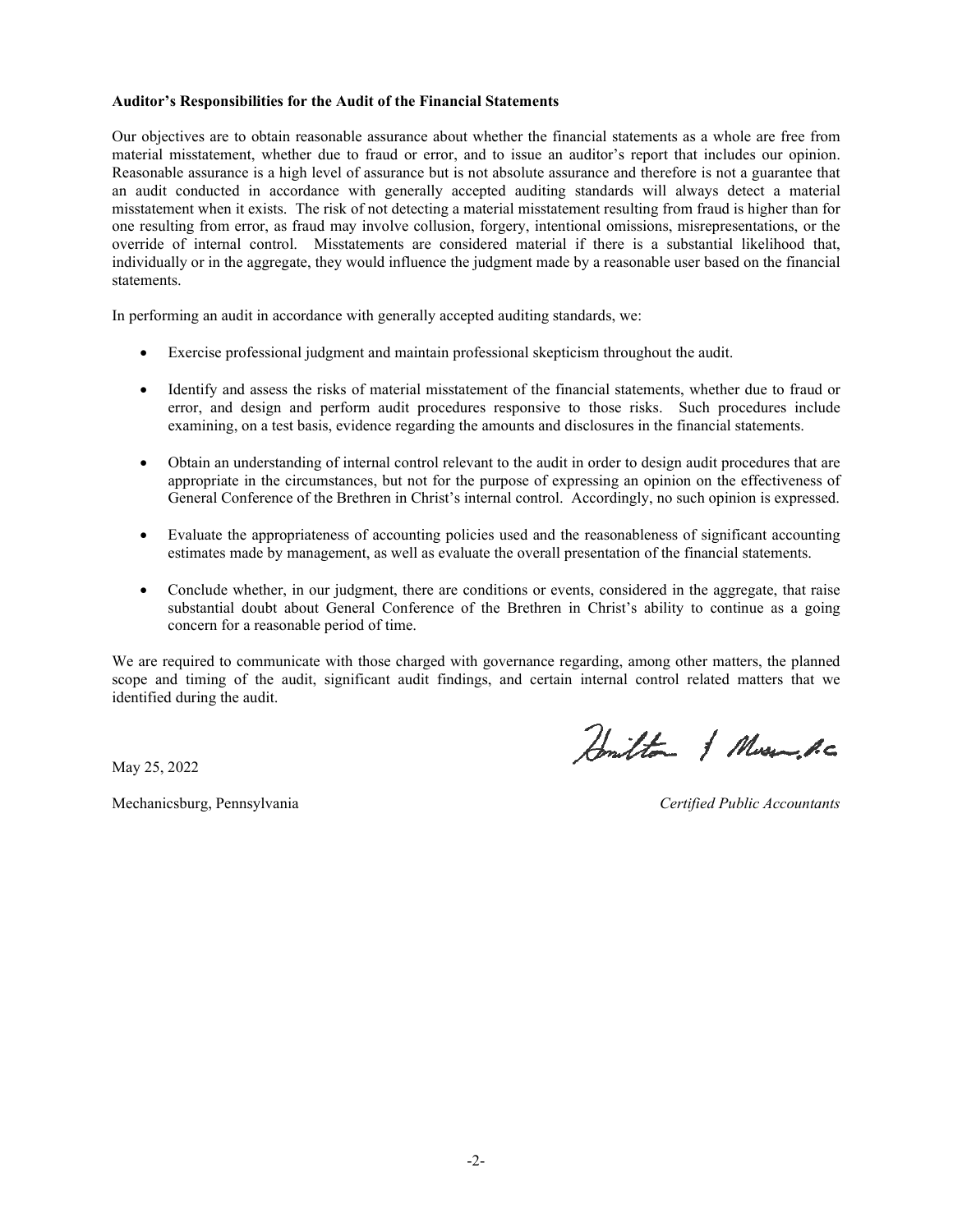### **Auditor's Responsibilities for the Audit of the Financial Statements**

Our objectives are to obtain reasonable assurance about whether the financial statements as a whole are free from material misstatement, whether due to fraud or error, and to issue an auditor's report that includes our opinion. Reasonable assurance is a high level of assurance but is not absolute assurance and therefore is not a guarantee that an audit conducted in accordance with generally accepted auditing standards will always detect a material misstatement when it exists. The risk of not detecting a material misstatement resulting from fraud is higher than for one resulting from error, as fraud may involve collusion, forgery, intentional omissions, misrepresentations, or the override of internal control. Misstatements are considered material if there is a substantial likelihood that, individually or in the aggregate, they would influence the judgment made by a reasonable user based on the financial statements.

In performing an audit in accordance with generally accepted auditing standards, we:

- Exercise professional judgment and maintain professional skepticism throughout the audit.
- Identify and assess the risks of material misstatement of the financial statements, whether due to fraud or error, and design and perform audit procedures responsive to those risks. Such procedures include examining, on a test basis, evidence regarding the amounts and disclosures in the financial statements.
- Obtain an understanding of internal control relevant to the audit in order to design audit procedures that are appropriate in the circumstances, but not for the purpose of expressing an opinion on the effectiveness of General Conference of the Brethren in Christ's internal control. Accordingly, no such opinion is expressed.
- Evaluate the appropriateness of accounting policies used and the reasonableness of significant accounting estimates made by management, as well as evaluate the overall presentation of the financial statements.
- Conclude whether, in our judgment, there are conditions or events, considered in the aggregate, that raise substantial doubt about General Conference of the Brethren in Christ's ability to continue as a going concern for a reasonable period of time.

We are required to communicate with those charged with governance regarding, among other matters, the planned scope and timing of the audit, significant audit findings, and certain internal control related matters that we identified during the audit.

May 25, 2022

Mechanicsburg, Pennsylvania *Certified Public Accountants*

Kinitton / Musen. A.C.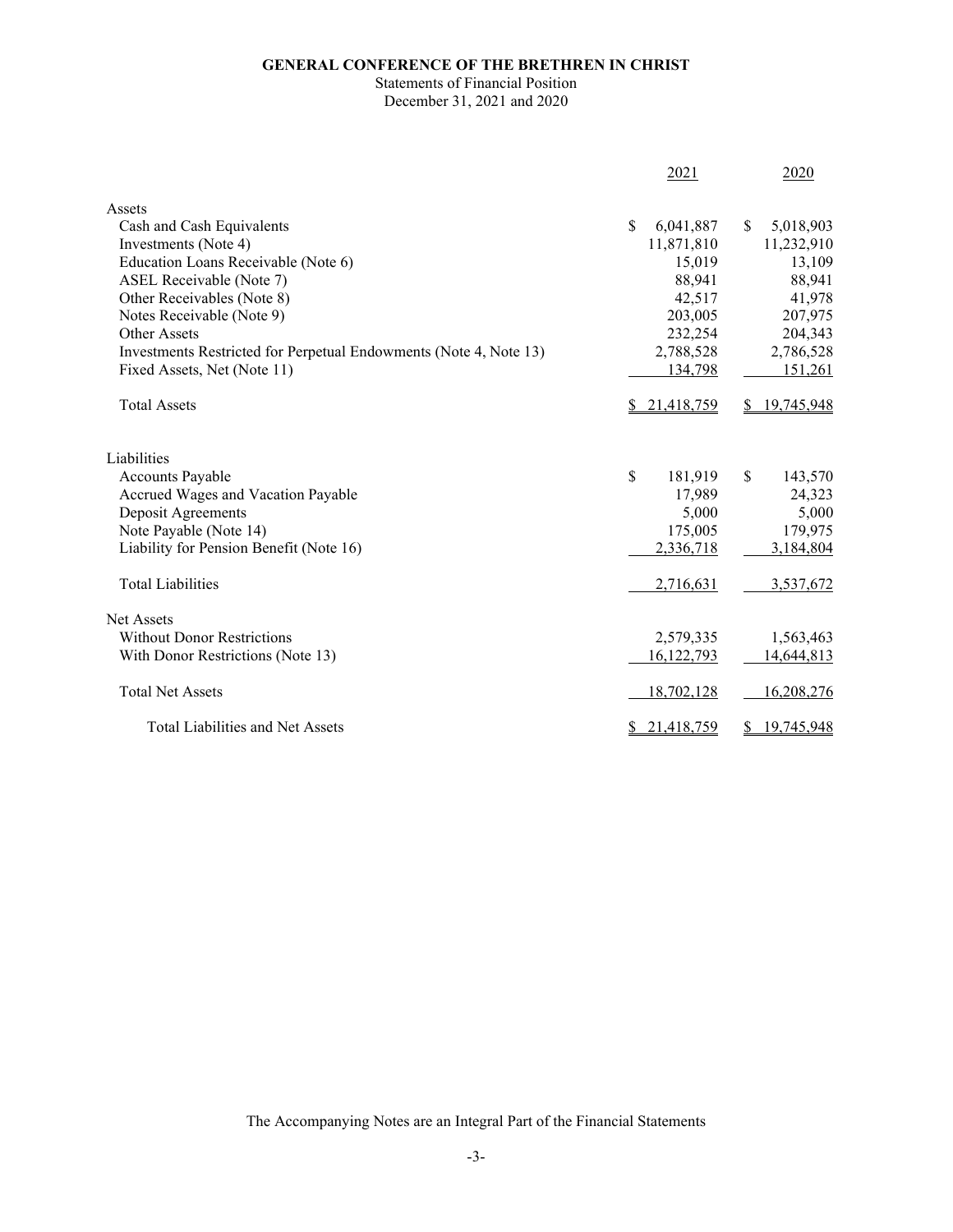### Statements of Financial Position December 31, 2021 and 2020

|                                                                   | 2021            | 2020            |
|-------------------------------------------------------------------|-----------------|-----------------|
| Assets                                                            |                 |                 |
| Cash and Cash Equivalents                                         | \$<br>6,041,887 | \$<br>5,018,903 |
| Investments (Note 4)                                              | 11,871,810      | 11,232,910      |
| Education Loans Receivable (Note 6)                               | 15,019          | 13,109          |
| ASEL Receivable (Note 7)                                          | 88,941          | 88,941          |
| Other Receivables (Note 8)                                        | 42,517          | 41,978          |
| Notes Receivable (Note 9)                                         | 203,005         | 207,975         |
| Other Assets                                                      | 232,254         | 204,343         |
| Investments Restricted for Perpetual Endowments (Note 4, Note 13) | 2,788,528       | 2,786,528       |
| Fixed Assets, Net (Note 11)                                       | 134,798         | 151,261         |
| <b>Total Assets</b>                                               | 21,418,759      | 19,745,948      |
| Liabilities                                                       |                 |                 |
| <b>Accounts Payable</b>                                           | \$<br>181,919   | \$<br>143,570   |
| Accrued Wages and Vacation Payable                                | 17,989          | 24,323          |
| Deposit Agreements                                                | 5,000           | 5,000           |
| Note Payable (Note 14)                                            | 175,005         | 179,975         |
| Liability for Pension Benefit (Note 16)                           | 2,336,718       | 3,184,804       |
| <b>Total Liabilities</b>                                          | 2,716,631       | 3,537,672       |
| Net Assets                                                        |                 |                 |
| <b>Without Donor Restrictions</b>                                 | 2,579,335       | 1,563,463       |
| With Donor Restrictions (Note 13)                                 | 16, 122, 793    | 14,644,813      |
| <b>Total Net Assets</b>                                           | 18,702,128      | 16,208,276      |
| <b>Total Liabilities and Net Assets</b>                           | 21,418,759      | 19,745,948      |
|                                                                   |                 |                 |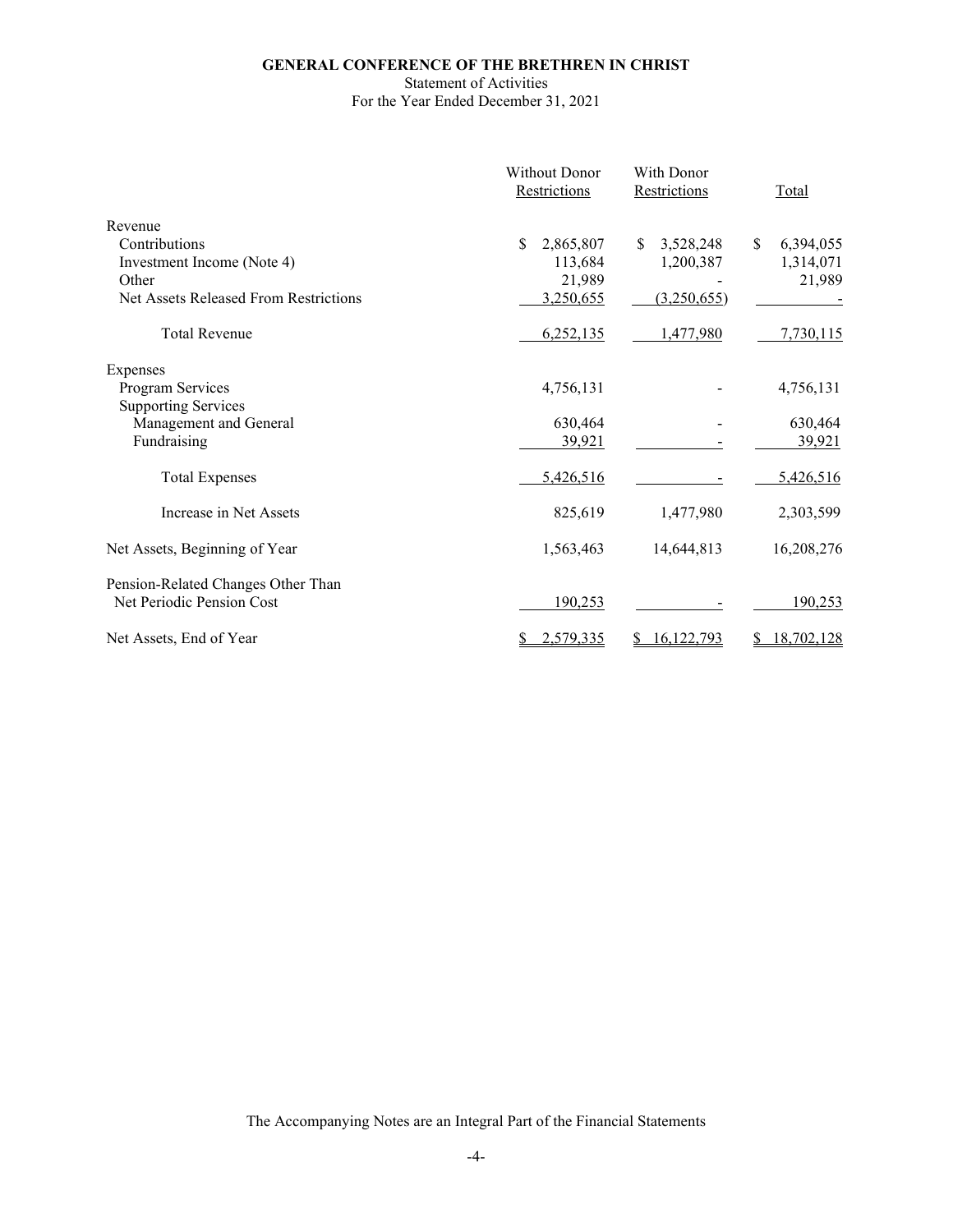### Statement of Activities For the Year Ended December 31, 2021

|                                       | <b>Without Donor</b><br>Restrictions | <b>With Donor</b><br>Restrictions | Total           |
|---------------------------------------|--------------------------------------|-----------------------------------|-----------------|
| Revenue                               |                                      |                                   |                 |
| Contributions                         | \$<br>2,865,807                      | \$<br>3,528,248                   | \$<br>6,394,055 |
| Investment Income (Note 4)            | 113,684                              | 1,200,387                         | 1,314,071       |
| Other                                 | 21,989                               |                                   | 21,989          |
| Net Assets Released From Restrictions | 3,250,655                            | (3,250,655)                       |                 |
| <b>Total Revenue</b>                  | 6,252,135                            | 1,477,980                         | 7,730,115       |
| Expenses                              |                                      |                                   |                 |
| Program Services                      | 4,756,131                            |                                   | 4,756,131       |
| <b>Supporting Services</b>            |                                      |                                   |                 |
| Management and General                | 630,464                              |                                   | 630,464         |
| Fundraising                           | 39,921                               |                                   | 39,921          |
| <b>Total Expenses</b>                 | 5,426,516                            |                                   | 5,426,516       |
| Increase in Net Assets                | 825,619                              | 1,477,980                         | 2,303,599       |
| Net Assets, Beginning of Year         | 1,563,463                            | 14,644,813                        | 16,208,276      |
| Pension-Related Changes Other Than    |                                      |                                   |                 |
| Net Periodic Pension Cost             | 190,253                              |                                   | 190,253         |
| Net Assets, End of Year               | 2,579,335                            | <u>16,122,793</u>                 | 18,702,128      |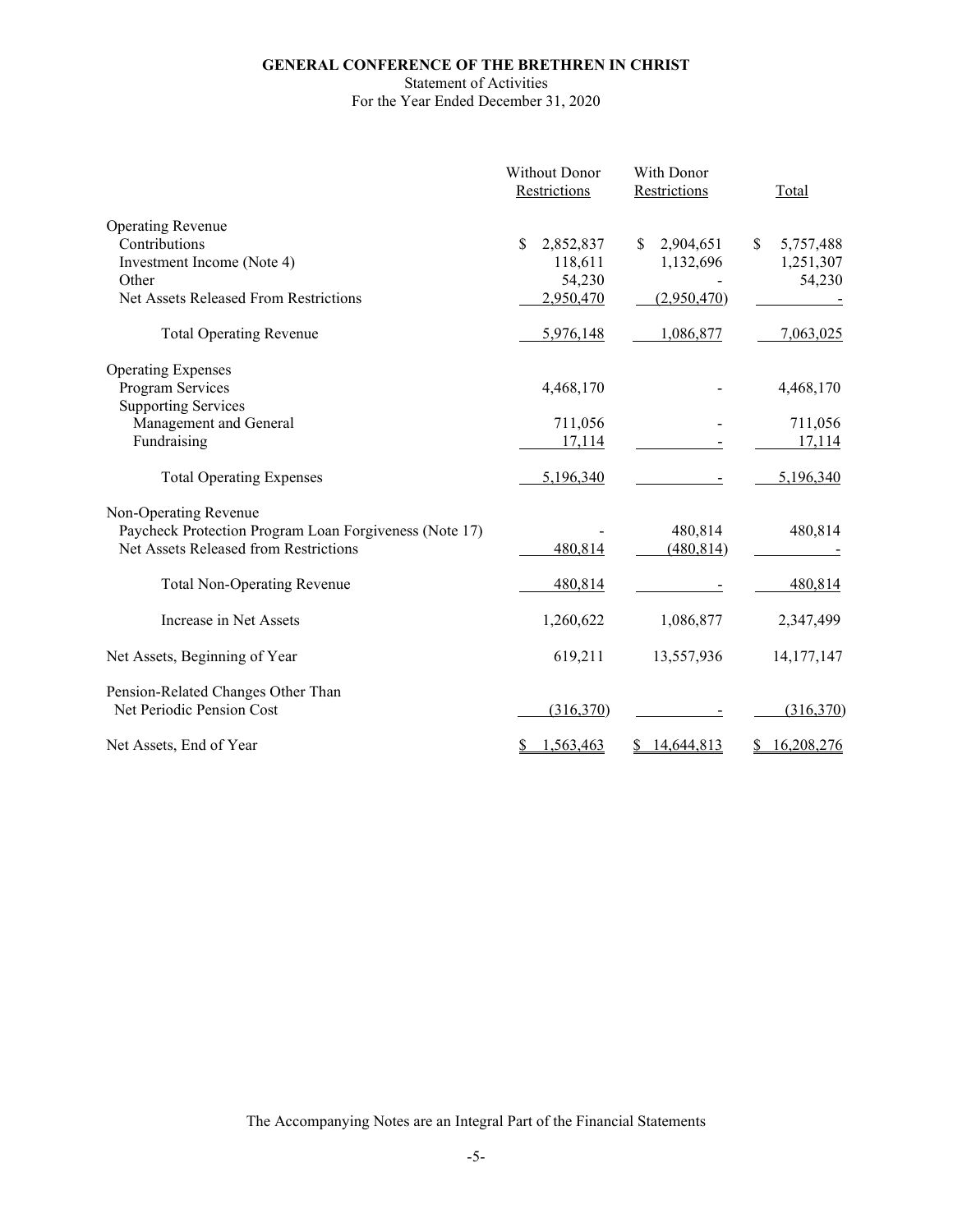### Statement of Activities For the Year Ended December 31, 2020

|                                                                                                                          | <b>Without Donor</b><br>Restrictions | With Donor<br>Restrictions   | Total                                   |
|--------------------------------------------------------------------------------------------------------------------------|--------------------------------------|------------------------------|-----------------------------------------|
| <b>Operating Revenue</b><br>Contributions<br>Investment Income (Note 4)<br>Other                                         | \$<br>2,852,837<br>118,611<br>54,230 | 2,904,651<br>\$<br>1,132,696 | \$.<br>5,757,488<br>1,251,307<br>54,230 |
| Net Assets Released From Restrictions                                                                                    | 2,950,470                            | (2,950,470)                  |                                         |
| <b>Total Operating Revenue</b>                                                                                           | 5,976,148                            | 1,086,877                    | 7,063,025                               |
| <b>Operating Expenses</b><br>Program Services<br><b>Supporting Services</b>                                              | 4,468,170                            |                              | 4,468,170                               |
| Management and General<br>Fundraising                                                                                    | 711,056<br>17,114                    |                              | 711,056<br>17,114                       |
| <b>Total Operating Expenses</b>                                                                                          | 5,196,340                            |                              | 5,196,340                               |
| Non-Operating Revenue<br>Paycheck Protection Program Loan Forgiveness (Note 17)<br>Net Assets Released from Restrictions | 480,814                              | 480,814<br>(480, 814)        | 480,814                                 |
| <b>Total Non-Operating Revenue</b>                                                                                       | 480,814                              |                              | 480,814                                 |
| Increase in Net Assets                                                                                                   | 1,260,622                            | 1,086,877                    | 2,347,499                               |
| Net Assets, Beginning of Year                                                                                            | 619,211                              | 13,557,936                   | 14,177,147                              |
| Pension-Related Changes Other Than<br>Net Periodic Pension Cost                                                          | (316,370)                            |                              | (316,370)                               |
| Net Assets, End of Year                                                                                                  | 1,563,463                            | 14,644,813                   | 16,208,276                              |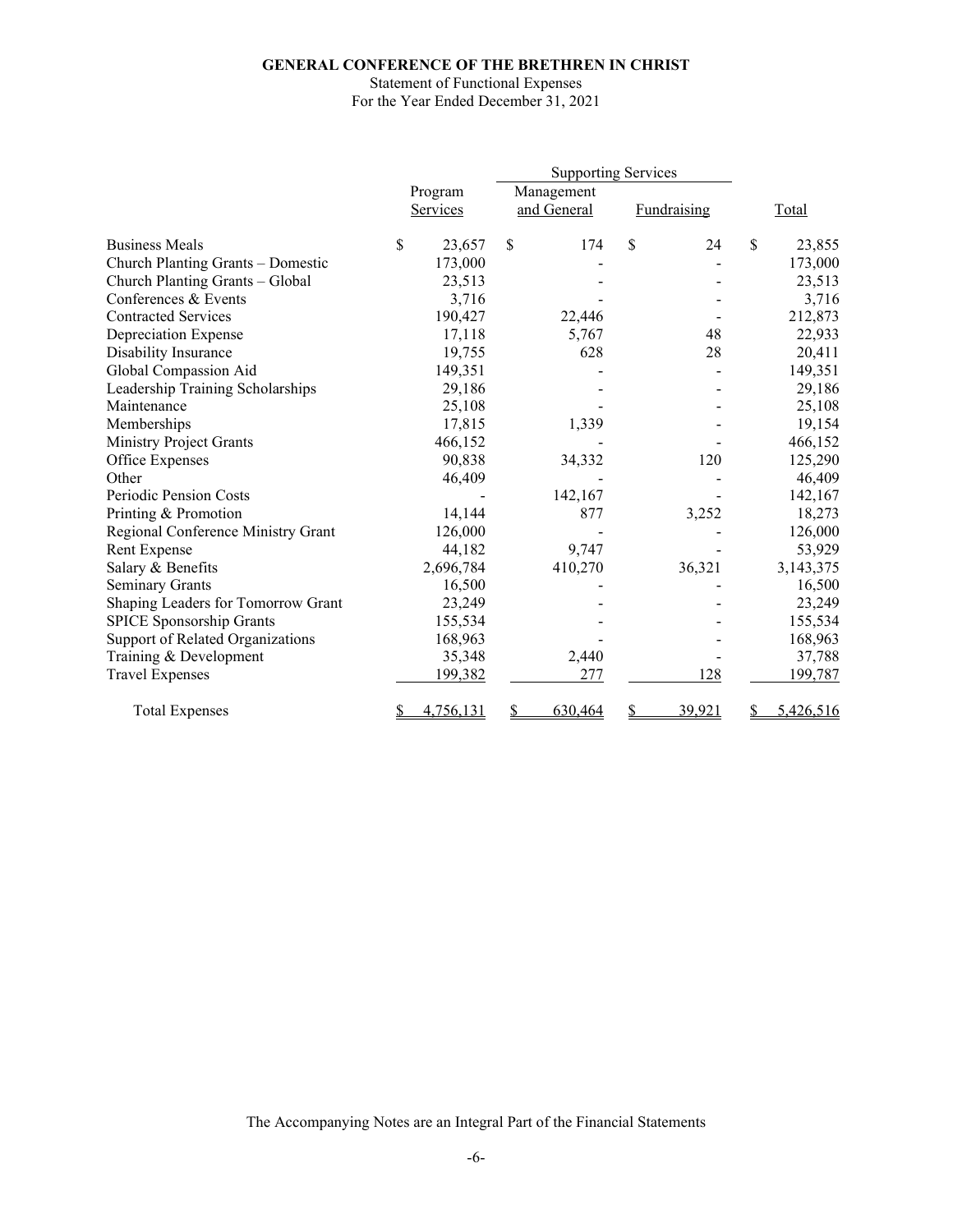### Statement of Functional Expenses For the Year Ended December 31, 2021

|                                    |                | <b>Supporting Services</b> |              |              |
|------------------------------------|----------------|----------------------------|--------------|--------------|
|                                    | Program        | Management                 |              |              |
|                                    | Services       | and General                | Fundraising  | Total        |
| <b>Business Meals</b>              | \$<br>23,657   | \$<br>174                  | \$<br>24     | \$<br>23,855 |
| Church Planting Grants - Domestic  | 173,000        |                            |              | 173,000      |
| Church Planting Grants - Global    | 23,513         |                            |              | 23,513       |
| Conferences & Events               | 3,716          |                            |              | 3,716        |
| <b>Contracted Services</b>         | 190,427        | 22,446                     |              | 212,873      |
| Depreciation Expense               | 17,118         | 5,767                      | 48           | 22,933       |
| Disability Insurance               | 19,755         | 628                        | 28           | 20,411       |
| Global Compassion Aid              | 149,351        |                            |              | 149,351      |
| Leadership Training Scholarships   | 29,186         |                            |              | 29,186       |
| Maintenance                        | 25,108         |                            |              | 25,108       |
| Memberships                        | 17,815         | 1,339                      |              | 19,154       |
| Ministry Project Grants            | 466,152        |                            |              | 466,152      |
| Office Expenses                    | 90,838         | 34,332                     | 120          | 125,290      |
| Other                              | 46,409         |                            |              | 46,409       |
| Periodic Pension Costs             |                | 142,167                    |              | 142,167      |
| Printing & Promotion               | 14,144         | 877                        | 3,252        | 18,273       |
| Regional Conference Ministry Grant | 126,000        |                            |              | 126,000      |
| Rent Expense                       | 44,182         | 9,747                      |              | 53,929       |
| Salary & Benefits                  | 2,696,784      | 410,270                    | 36,321       | 3,143,375    |
| <b>Seminary Grants</b>             | 16,500         |                            |              | 16,500       |
| Shaping Leaders for Tomorrow Grant | 23,249         |                            |              | 23,249       |
| <b>SPICE Sponsorship Grants</b>    | 155,534        |                            |              | 155,534      |
| Support of Related Organizations   | 168,963        |                            |              | 168,963      |
| Training & Development             | 35,348         | 2,440                      |              | 37,788       |
| <b>Travel Expenses</b>             | <u>199,382</u> | 277                        | 128          | 199,787      |
| <b>Total Expenses</b>              | 4,756,131      | 630,464                    | 39,921<br>\$ | 5,426,516    |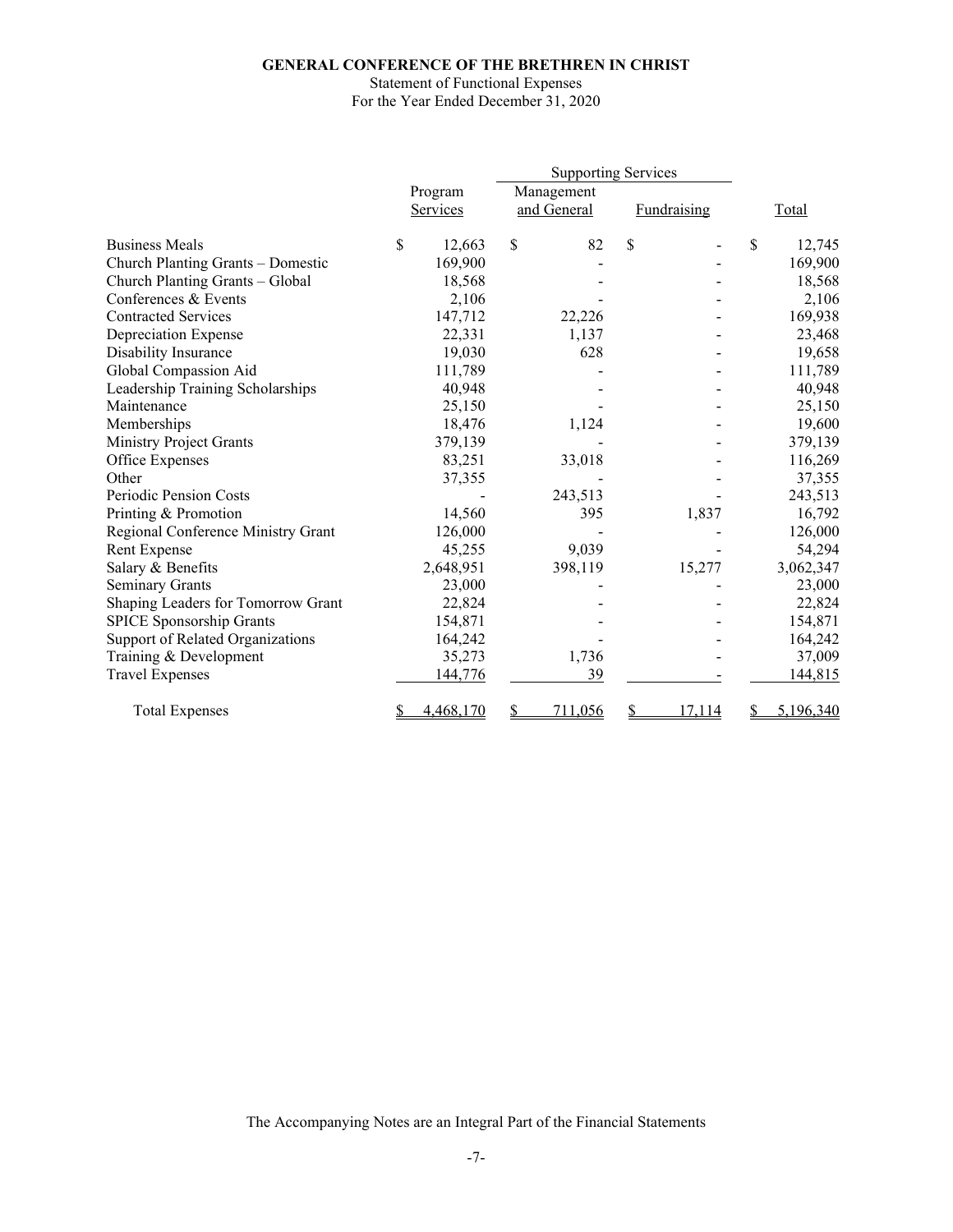### Statement of Functional Expenses For the Year Ended December 31, 2020

|                                    |              | <b>Supporting Services</b> |             |               |              |
|------------------------------------|--------------|----------------------------|-------------|---------------|--------------|
|                                    | Program      |                            | Management  |               |              |
|                                    | Services     |                            | and General | Fundraising   | Total        |
| <b>Business Meals</b>              | \$<br>12,663 | \$                         | 82          | \$            | \$<br>12,745 |
| Church Planting Grants - Domestic  | 169,900      |                            |             |               | 169,900      |
| Church Planting Grants - Global    | 18,568       |                            |             |               | 18,568       |
| Conferences & Events               | 2,106        |                            |             |               | 2,106        |
| <b>Contracted Services</b>         | 147,712      |                            | 22,226      |               | 169,938      |
| Depreciation Expense               | 22,331       |                            | 1,137       |               | 23,468       |
| Disability Insurance               | 19,030       |                            | 628         |               | 19,658       |
| Global Compassion Aid              | 111,789      |                            |             |               | 111,789      |
| Leadership Training Scholarships   | 40,948       |                            |             |               | 40,948       |
| Maintenance                        | 25,150       |                            |             |               | 25,150       |
| Memberships                        | 18,476       |                            | 1,124       |               | 19,600       |
| Ministry Project Grants            | 379,139      |                            |             |               | 379,139      |
| Office Expenses                    | 83,251       |                            | 33,018      |               | 116,269      |
| Other                              | 37,355       |                            |             |               | 37,355       |
| Periodic Pension Costs             |              |                            | 243,513     |               | 243,513      |
| Printing & Promotion               | 14,560       |                            | 395         | 1,837         | 16,792       |
| Regional Conference Ministry Grant | 126,000      |                            |             |               | 126,000      |
| Rent Expense                       | 45,255       |                            | 9,039       |               | 54,294       |
| Salary & Benefits                  | 2,648,951    |                            | 398,119     | 15,277        | 3,062,347    |
| <b>Seminary Grants</b>             | 23,000       |                            |             |               | 23,000       |
| Shaping Leaders for Tomorrow Grant | 22,824       |                            |             |               | 22,824       |
| <b>SPICE Sponsorship Grants</b>    | 154,871      |                            |             |               | 154,871      |
| Support of Related Organizations   | 164,242      |                            |             |               | 164,242      |
| Training & Development             | 35,273       |                            | 1,736       |               | 37,009       |
| <b>Travel Expenses</b>             | 144,776      |                            | 39          |               | 144,815      |
| <b>Total Expenses</b>              | 4,468,170    |                            | 711,056     | <u>17,114</u> | 5,196,340    |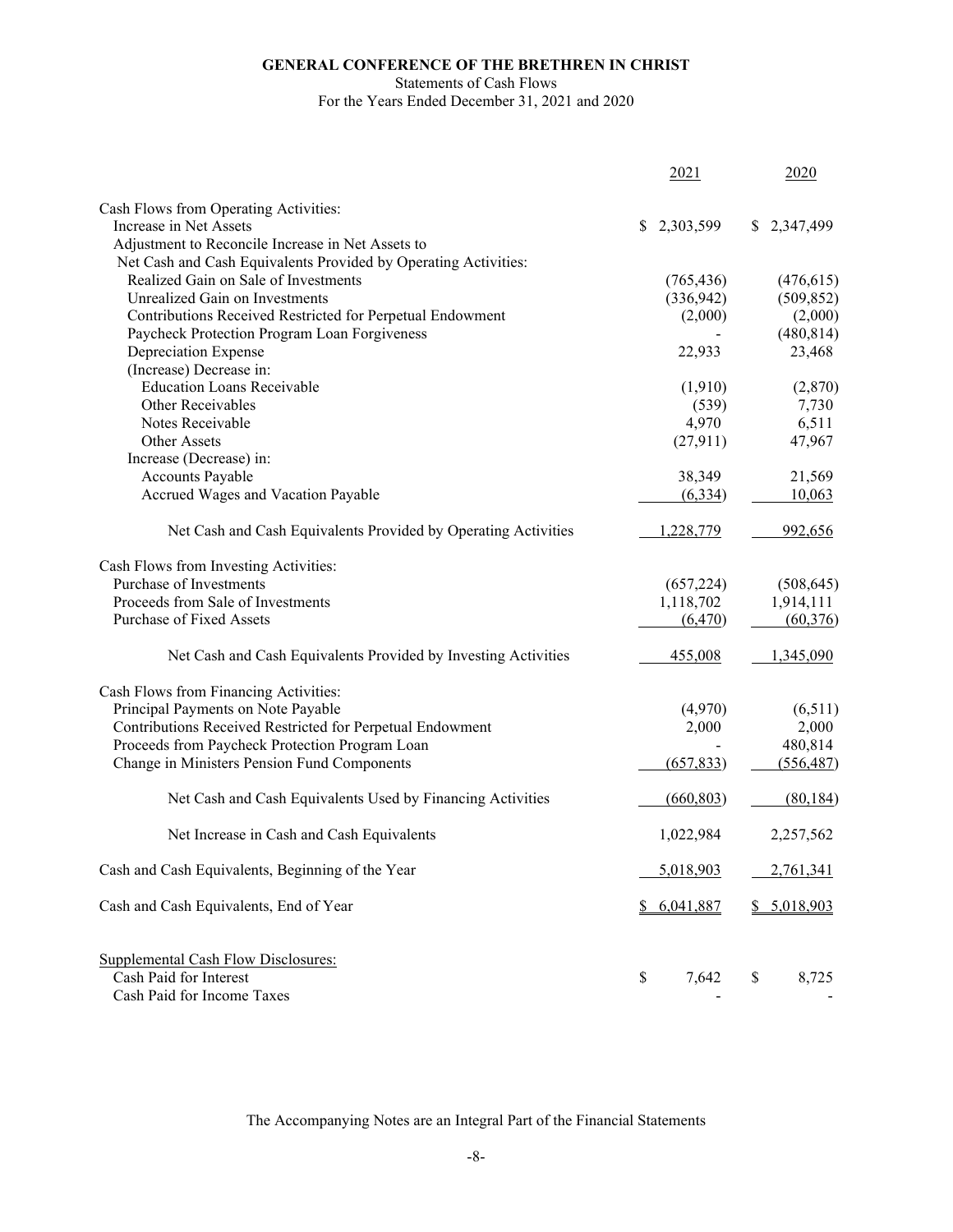### Statements of Cash Flows

For the Years Ended December 31, 2021 and 2020

|                                                                      | 2021                        | 2020        |
|----------------------------------------------------------------------|-----------------------------|-------------|
| Cash Flows from Operating Activities:                                |                             |             |
| Increase in Net Assets                                               | 2,303,599<br>$\mathbb{S}^-$ | \$2,347,499 |
| Adjustment to Reconcile Increase in Net Assets to                    |                             |             |
| Net Cash and Cash Equivalents Provided by Operating Activities:      |                             |             |
| Realized Gain on Sale of Investments                                 | (765, 436)                  | (476, 615)  |
| Unrealized Gain on Investments                                       | (336,942)                   | (509, 852)  |
| Contributions Received Restricted for Perpetual Endowment            | (2,000)                     | (2,000)     |
| Paycheck Protection Program Loan Forgiveness                         |                             | (480, 814)  |
| Depreciation Expense                                                 | 22,933                      | 23,468      |
| (Increase) Decrease in:                                              |                             |             |
| <b>Education Loans Receivable</b>                                    | (1,910)                     | (2,870)     |
| Other Receivables                                                    | (539)                       | 7,730       |
| Notes Receivable                                                     | 4,970                       | 6,511       |
| <b>Other Assets</b>                                                  | (27, 911)                   | 47,967      |
| Increase (Decrease) in:                                              |                             |             |
| Accounts Payable                                                     | 38,349                      | 21,569      |
| Accrued Wages and Vacation Payable                                   | (6, 334)                    | 10,063      |
|                                                                      |                             |             |
| Net Cash and Cash Equivalents Provided by Operating Activities       | 1,228,779                   | 992,656     |
| Cash Flows from Investing Activities:                                |                             |             |
| Purchase of Investments                                              | (657, 224)                  | (508, 645)  |
| Proceeds from Sale of Investments                                    | 1,118,702                   | 1,914,111   |
| Purchase of Fixed Assets                                             | (6, 470)                    | (60, 376)   |
|                                                                      |                             |             |
| Net Cash and Cash Equivalents Provided by Investing Activities       | 455,008                     | 1,345,090   |
| Cash Flows from Financing Activities:                                |                             |             |
| Principal Payments on Note Payable                                   | (4,970)                     | (6,511)     |
| Contributions Received Restricted for Perpetual Endowment            | 2,000                       | 2,000       |
| Proceeds from Paycheck Protection Program Loan                       |                             | 480,814     |
| Change in Ministers Pension Fund Components                          | (657, 833)                  | (556, 487)  |
|                                                                      |                             |             |
| Net Cash and Cash Equivalents Used by Financing Activities           | (660, 803)                  | (80, 184)   |
| Net Increase in Cash and Cash Equivalents                            | 1,022,984                   | 2,257,562   |
| Cash and Cash Equivalents, Beginning of the Year                     | 5,018,903                   | 2,761,341   |
| Cash and Cash Equivalents, End of Year                               | 6,041,887<br>S.             | \$5,018,903 |
| <b>Supplemental Cash Flow Disclosures:</b><br>Cash Paid for Interest | \$<br>7,642                 | \$<br>8,725 |
| Cash Paid for Income Taxes                                           |                             |             |
|                                                                      |                             |             |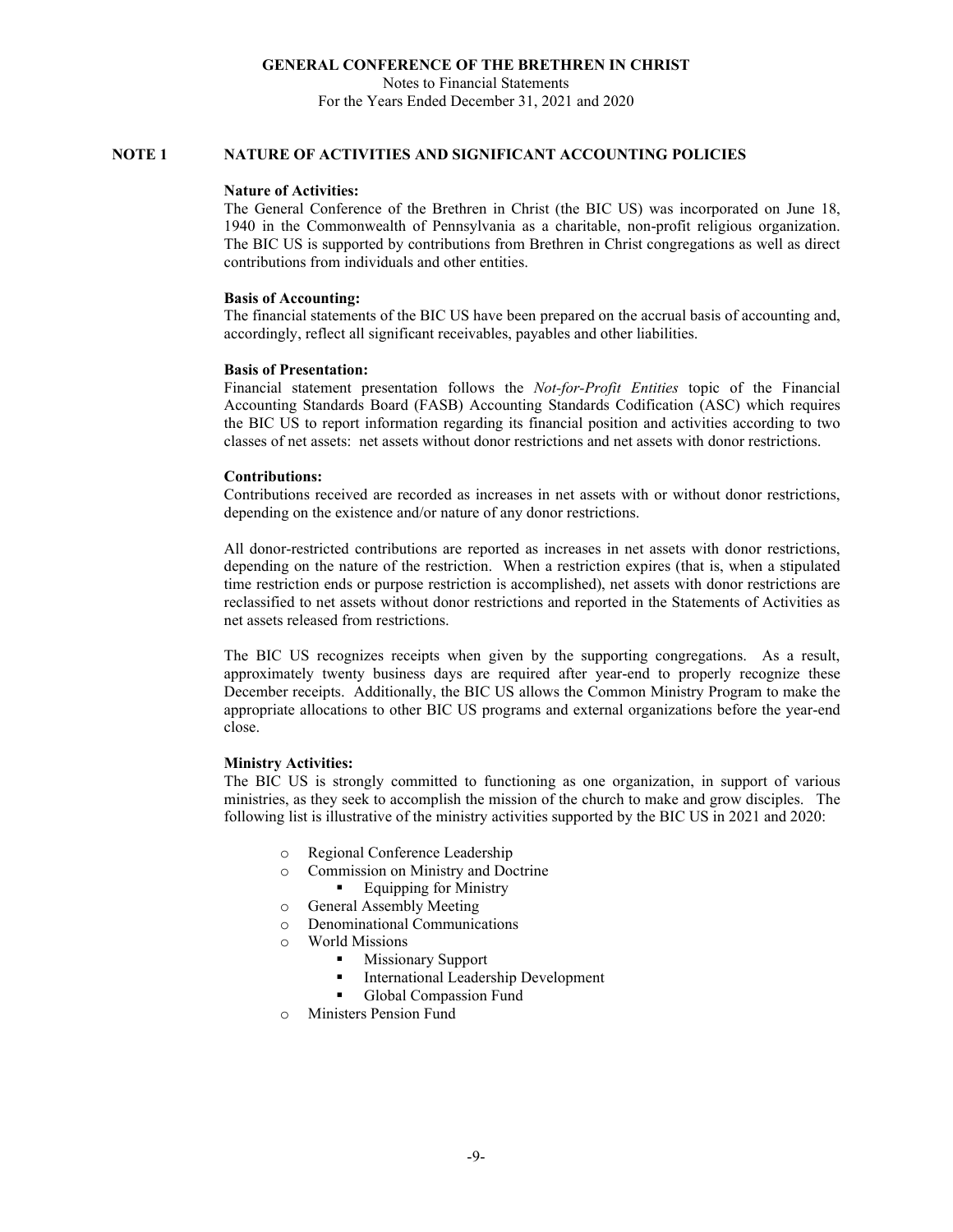Notes to Financial Statements For the Years Ended December 31, 2021 and 2020

# **NOTE 1 NATURE OF ACTIVITIES AND SIGNIFICANT ACCOUNTING POLICIES**

#### **Nature of Activities:**

The General Conference of the Brethren in Christ (the BIC US) was incorporated on June 18, 1940 in the Commonwealth of Pennsylvania as a charitable, non-profit religious organization. The BIC US is supported by contributions from Brethren in Christ congregations as well as direct contributions from individuals and other entities.

#### **Basis of Accounting:**

The financial statements of the BIC US have been prepared on the accrual basis of accounting and, accordingly, reflect all significant receivables, payables and other liabilities.

#### **Basis of Presentation:**

Financial statement presentation follows the *Not-for-Profit Entities* topic of the Financial Accounting Standards Board (FASB) Accounting Standards Codification (ASC) which requires the BIC US to report information regarding its financial position and activities according to two classes of net assets: net assets without donor restrictions and net assets with donor restrictions.

#### **Contributions:**

Contributions received are recorded as increases in net assets with or without donor restrictions, depending on the existence and/or nature of any donor restrictions.

All donor-restricted contributions are reported as increases in net assets with donor restrictions, depending on the nature of the restriction. When a restriction expires (that is, when a stipulated time restriction ends or purpose restriction is accomplished), net assets with donor restrictions are reclassified to net assets without donor restrictions and reported in the Statements of Activities as net assets released from restrictions.

The BIC US recognizes receipts when given by the supporting congregations. As a result, approximately twenty business days are required after year-end to properly recognize these December receipts. Additionally, the BIC US allows the Common Ministry Program to make the appropriate allocations to other BIC US programs and external organizations before the year-end close.

#### **Ministry Activities:**

The BIC US is strongly committed to functioning as one organization, in support of various ministries, as they seek to accomplish the mission of the church to make and grow disciples. The following list is illustrative of the ministry activities supported by the BIC US in 2021 and 2020:

- o Regional Conference Leadership
- o Commission on Ministry and Doctrine
	- Equipping for Ministry
- o General Assembly Meeting
	- Denominational Communications
- o World Missions
	- **Missionary Support**
	- **International Leadership Development**
	- Global Compassion Fund
- Ministers Pension Fund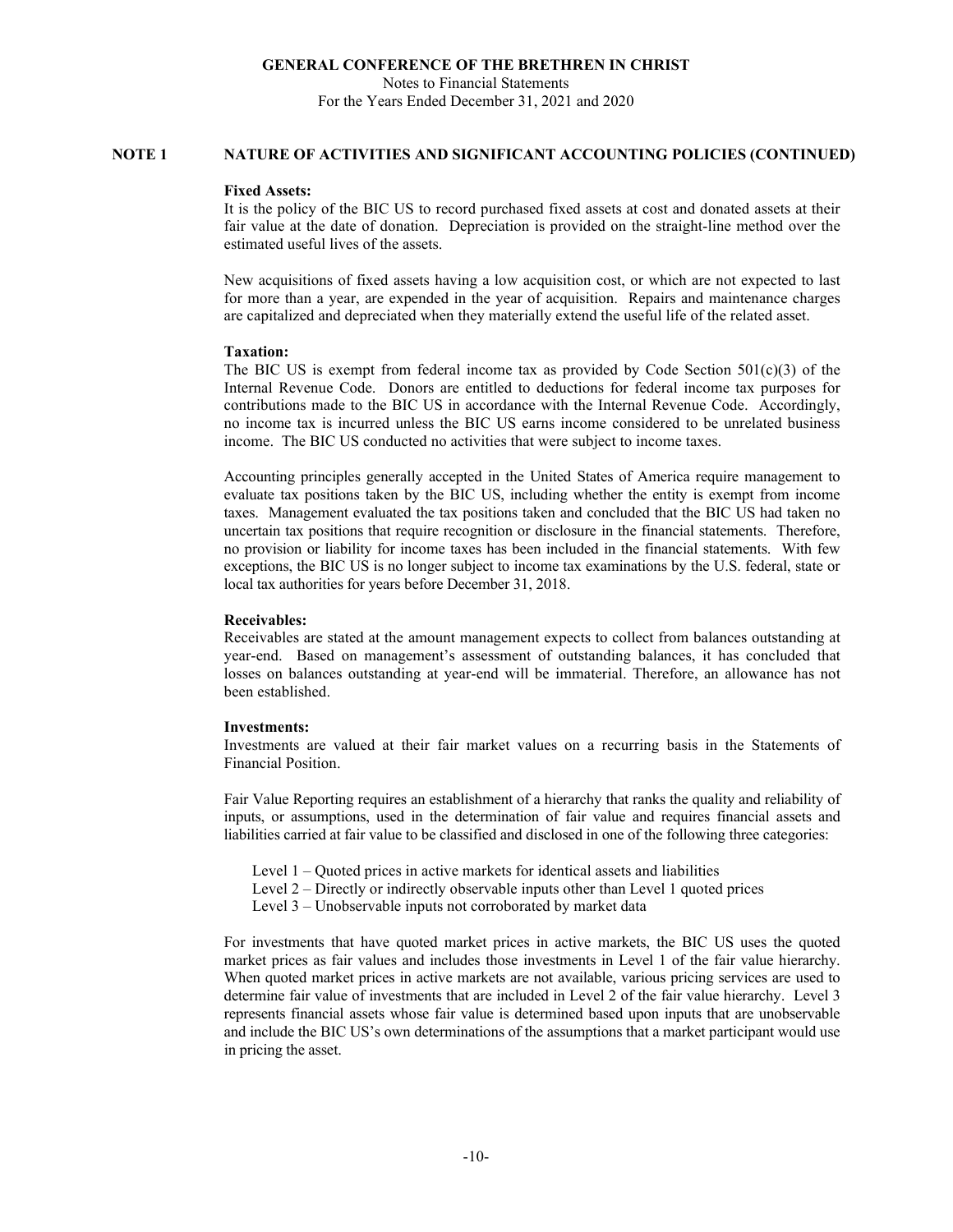Notes to Financial Statements For the Years Ended December 31, 2021 and 2020

### **NOTE 1 NATURE OF ACTIVITIES AND SIGNIFICANT ACCOUNTING POLICIES (CONTINUED)**

#### **Fixed Assets:**

It is the policy of the BIC US to record purchased fixed assets at cost and donated assets at their fair value at the date of donation. Depreciation is provided on the straight-line method over the estimated useful lives of the assets.

New acquisitions of fixed assets having a low acquisition cost, or which are not expected to last for more than a year, are expended in the year of acquisition. Repairs and maintenance charges are capitalized and depreciated when they materially extend the useful life of the related asset.

#### **Taxation:**

The BIC US is exempt from federal income tax as provided by Code Section  $501(c)(3)$  of the Internal Revenue Code. Donors are entitled to deductions for federal income tax purposes for contributions made to the BIC US in accordance with the Internal Revenue Code. Accordingly, no income tax is incurred unless the BIC US earns income considered to be unrelated business income. The BIC US conducted no activities that were subject to income taxes.

Accounting principles generally accepted in the United States of America require management to evaluate tax positions taken by the BIC US, including whether the entity is exempt from income taxes. Management evaluated the tax positions taken and concluded that the BIC US had taken no uncertain tax positions that require recognition or disclosure in the financial statements. Therefore, no provision or liability for income taxes has been included in the financial statements. With few exceptions, the BIC US is no longer subject to income tax examinations by the U.S. federal, state or local tax authorities for years before December 31, 2018.

#### **Receivables:**

Receivables are stated at the amount management expects to collect from balances outstanding at year-end. Based on management's assessment of outstanding balances, it has concluded that losses on balances outstanding at year-end will be immaterial. Therefore, an allowance has not been established.

### **Investments:**

Investments are valued at their fair market values on a recurring basis in the Statements of Financial Position.

Fair Value Reporting requires an establishment of a hierarchy that ranks the quality and reliability of inputs, or assumptions, used in the determination of fair value and requires financial assets and liabilities carried at fair value to be classified and disclosed in one of the following three categories:

Level 1 – Quoted prices in active markets for identical assets and liabilities

- Level 2 Directly or indirectly observable inputs other than Level 1 quoted prices
- Level 3 Unobservable inputs not corroborated by market data

For investments that have quoted market prices in active markets, the BIC US uses the quoted market prices as fair values and includes those investments in Level 1 of the fair value hierarchy. When quoted market prices in active markets are not available, various pricing services are used to determine fair value of investments that are included in Level 2 of the fair value hierarchy. Level 3 represents financial assets whose fair value is determined based upon inputs that are unobservable and include the BIC US's own determinations of the assumptions that a market participant would use in pricing the asset.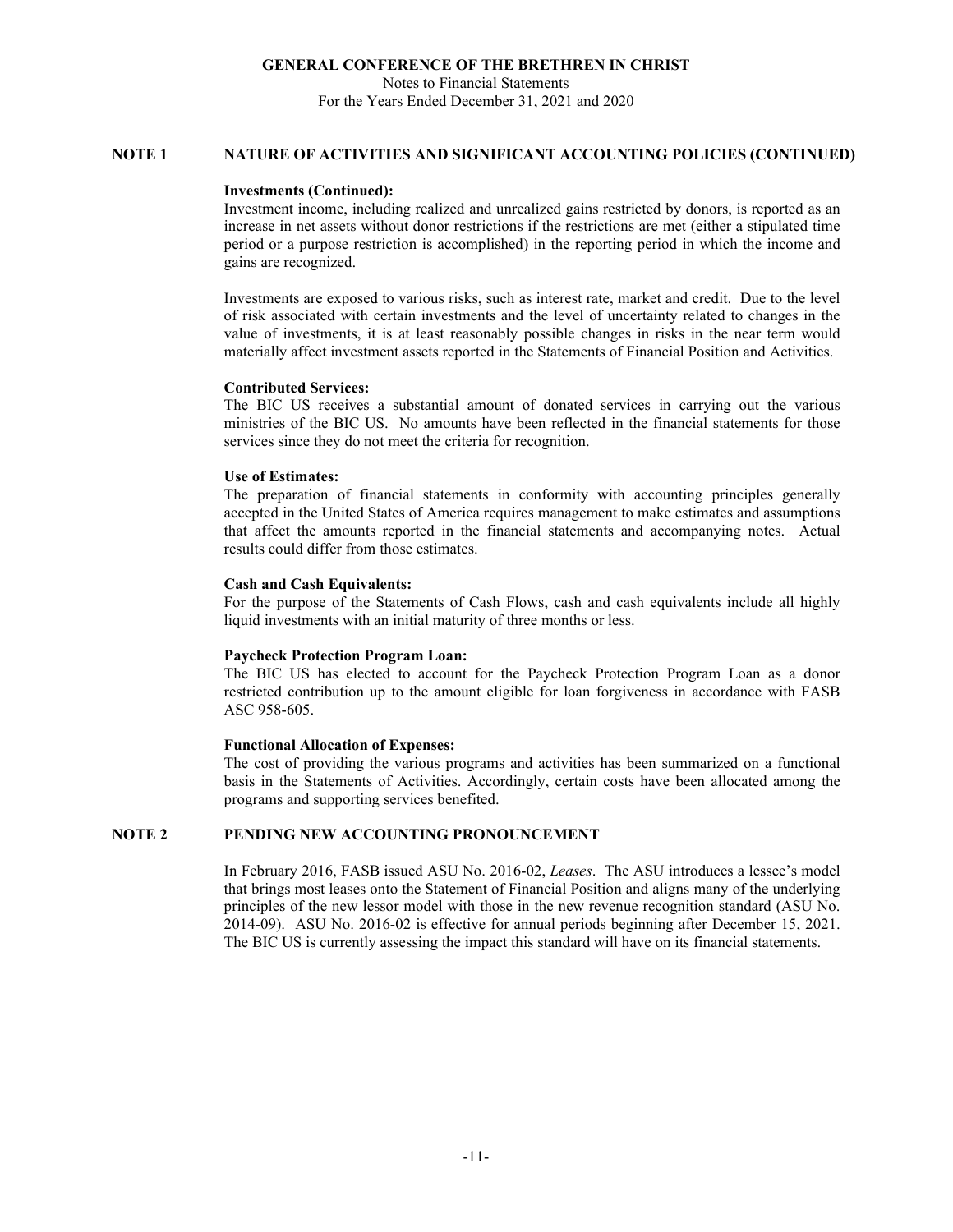Notes to Financial Statements For the Years Ended December 31, 2021 and 2020

# **NOTE 1 NATURE OF ACTIVITIES AND SIGNIFICANT ACCOUNTING POLICIES (CONTINUED)**

#### **Investments (Continued):**

Investment income, including realized and unrealized gains restricted by donors, is reported as an increase in net assets without donor restrictions if the restrictions are met (either a stipulated time period or a purpose restriction is accomplished) in the reporting period in which the income and gains are recognized.

Investments are exposed to various risks, such as interest rate, market and credit. Due to the level of risk associated with certain investments and the level of uncertainty related to changes in the value of investments, it is at least reasonably possible changes in risks in the near term would materially affect investment assets reported in the Statements of Financial Position and Activities.

#### **Contributed Services:**

The BIC US receives a substantial amount of donated services in carrying out the various ministries of the BIC US. No amounts have been reflected in the financial statements for those services since they do not meet the criteria for recognition.

### **Use of Estimates:**

The preparation of financial statements in conformity with accounting principles generally accepted in the United States of America requires management to make estimates and assumptions that affect the amounts reported in the financial statements and accompanying notes. Actual results could differ from those estimates.

### **Cash and Cash Equivalents:**

For the purpose of the Statements of Cash Flows, cash and cash equivalents include all highly liquid investments with an initial maturity of three months or less.

### **Paycheck Protection Program Loan:**

The BIC US has elected to account for the Paycheck Protection Program Loan as a donor restricted contribution up to the amount eligible for loan forgiveness in accordance with FASB ASC 958-605.

### **Functional Allocation of Expenses:**

The cost of providing the various programs and activities has been summarized on a functional basis in the Statements of Activities. Accordingly, certain costs have been allocated among the programs and supporting services benefited.

## **NOTE 2 PENDING NEW ACCOUNTING PRONOUNCEMENT**

In February 2016, FASB issued ASU No. 2016-02, *Leases*. The ASU introduces a lessee's model that brings most leases onto the Statement of Financial Position and aligns many of the underlying principles of the new lessor model with those in the new revenue recognition standard (ASU No. 2014-09). ASU No. 2016-02 is effective for annual periods beginning after December 15, 2021. The BIC US is currently assessing the impact this standard will have on its financial statements.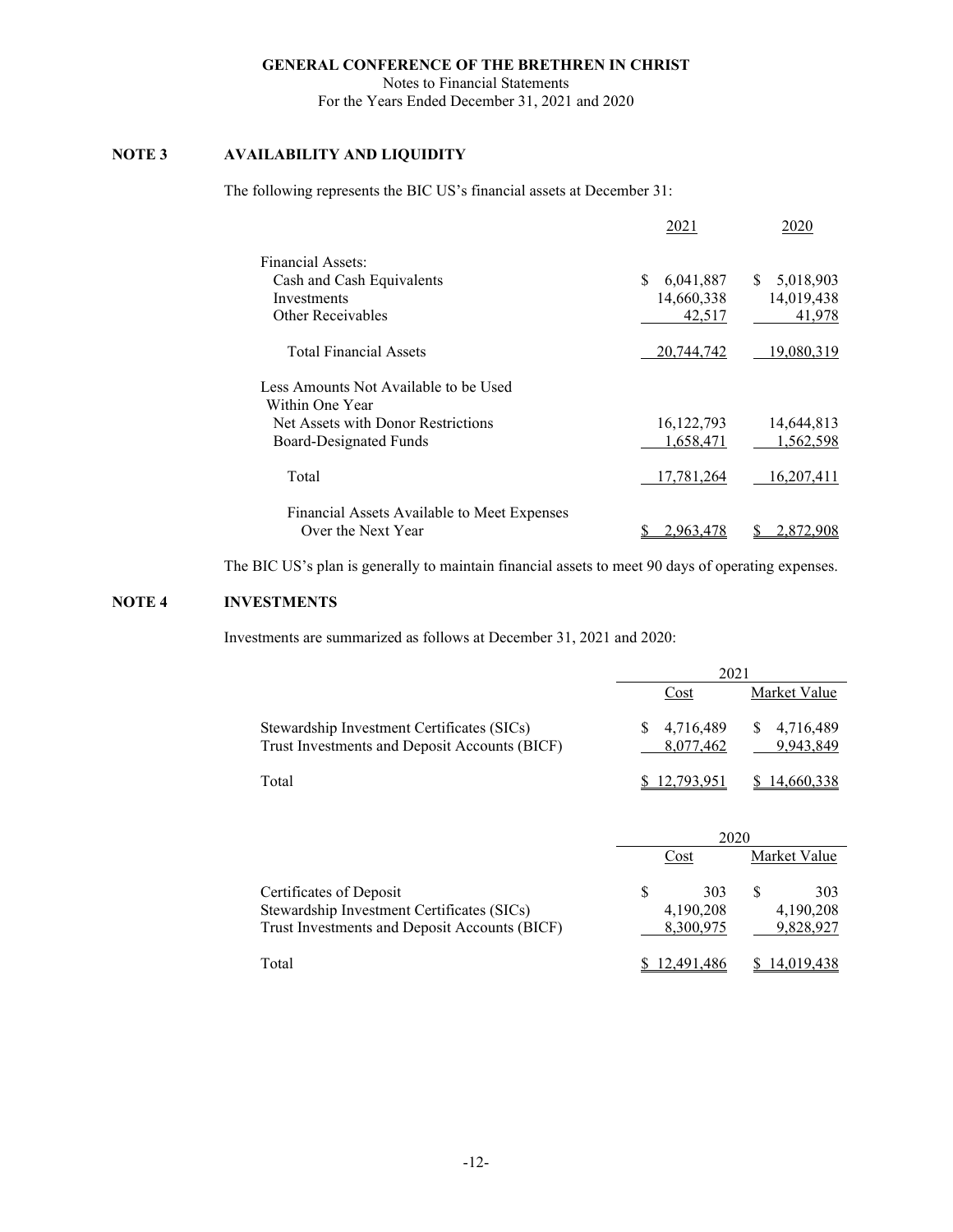Notes to Financial Statements For the Years Ended December 31, 2021 and 2020

# **NOTE 3 AVAILABILITY AND LIQUIDITY**

The following represents the BIC US's financial assets at December 31:

|                                                          | 2021             | 2020            |
|----------------------------------------------------------|------------------|-----------------|
| Financial Assets:                                        |                  |                 |
| Cash and Cash Equivalents                                | \$.<br>6,041,887 | 5,018,903<br>S. |
| Investments                                              | 14,660,338       | 14,019,438      |
| Other Receivables                                        | 42,517           | 41,978          |
| <b>Total Financial Assets</b>                            | 20,744,742       | 19,080,319      |
| Less Amounts Not Available to be Used<br>Within One Year |                  |                 |
| Net Assets with Donor Restrictions                       | 16, 122, 793     | 14,644,813      |
| Board-Designated Funds                                   | 1,658,471        | 1.562.598       |
| Total                                                    | 17,781,264       | 16,207,411      |
| Financial Assets Available to Meet Expenses              |                  |                 |
| Over the Next Year                                       | 2,963,478        | 2,872,908       |

The BIC US's plan is generally to maintain financial assets to meet 90 days of operating expenses.

# **NOTE 4 INVESTMENTS**

Investments are summarized as follows at December 31, 2021 and 2020:

|                                                                                             | 2021                   |                                        |  |  |
|---------------------------------------------------------------------------------------------|------------------------|----------------------------------------|--|--|
|                                                                                             | Market Value<br>Cost   |                                        |  |  |
| Stewardship Investment Certificates (SICs)<br>Trust Investments and Deposit Accounts (BICF) | 4,716,489<br>8,077,462 | 4,716,489<br><sup>S</sup><br>9.943.849 |  |  |
| Total                                                                                       | \$12.793.951           | 14,660,338                             |  |  |

|                                                                                                                        |  | 2020                          |              |                               |  |
|------------------------------------------------------------------------------------------------------------------------|--|-------------------------------|--------------|-------------------------------|--|
|                                                                                                                        |  | Cost                          | Market Value |                               |  |
| Certificates of Deposit<br>Stewardship Investment Certificates (SICs)<br>Trust Investments and Deposit Accounts (BICF) |  | 303<br>4,190,208<br>8,300,975 |              | 303<br>4,190,208<br>9,828,927 |  |
| Total                                                                                                                  |  |                               |              | 14.019.438                    |  |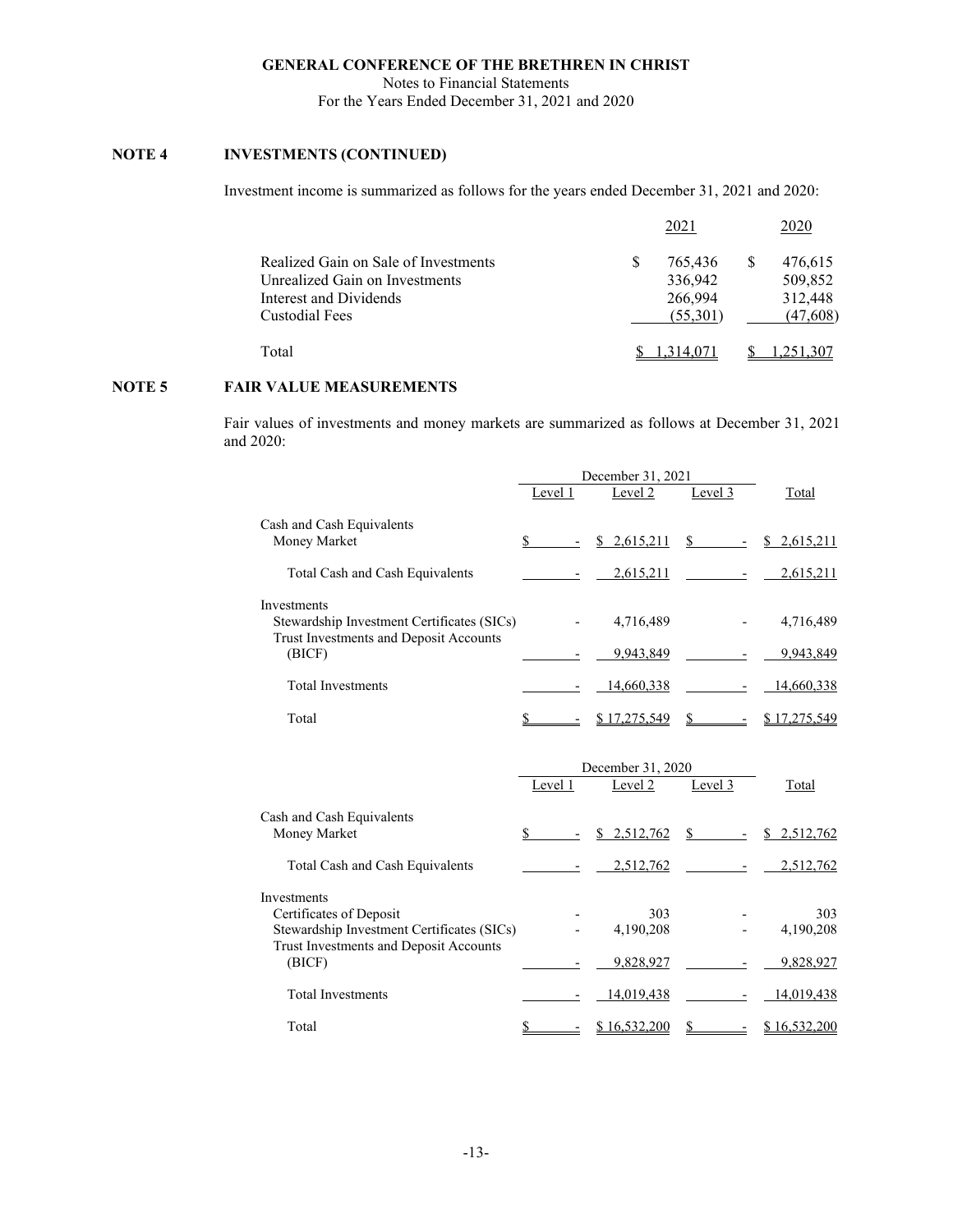Notes to Financial Statements

For the Years Ended December 31, 2021 and 2020

# **NOTE 4 INVESTMENTS (CONTINUED)**

Investment income is summarized as follows for the years ended December 31, 2021 and 2020:

|                                      | 202.      |          |
|--------------------------------------|-----------|----------|
| Realized Gain on Sale of Investments | 765,436   | 476,615  |
| Unrealized Gain on Investments       | 336,942   | 509,852  |
| Interest and Dividends               | 266,994   | 312,448  |
| Custodial Fees                       | (55, 301) | (47,608) |
| Total                                |           |          |

### **NOTE 5 FAIR VALUE MEASUREMENTS**

Fair values of investments and money markets are summarized as follows at December 31, 2021 and 2020:

|                                                                                                     | December 31, 2021 |                 |         |             |
|-----------------------------------------------------------------------------------------------------|-------------------|-----------------|---------|-------------|
|                                                                                                     | Level 1           | Level 2         | Level 3 | Total       |
| Cash and Cash Equivalents<br>Money Market                                                           | \$                | 2,615,211<br>S. | - S     | \$2,615,211 |
| Total Cash and Cash Equivalents                                                                     |                   | 2,615,211       |         | 2,615,211   |
| Investments<br>Stewardship Investment Certificates (SICs)<br>Trust Investments and Deposit Accounts |                   | 4,716,489       |         | 4,716,489   |
| (BICF)                                                                                              |                   | 9.943.849       |         | 9,943,849   |
| <b>Total Investments</b>                                                                            |                   | 14,660,338      |         | 14,660,338  |
| Total                                                                                               |                   | 7.275.549       |         | 17.275.549  |

|                                                                                      | December 31, 2020 |  |                |              |              |
|--------------------------------------------------------------------------------------|-------------------|--|----------------|--------------|--------------|
|                                                                                      | Level 1           |  | Level 2        | Level 3      | Total        |
| Cash and Cash Equivalents<br>Money Market                                            |                   |  | 2,512,762<br>S | $\mathbb{S}$ | \$2,512,762  |
| Total Cash and Cash Equivalents                                                      |                   |  | 2,512,762      |              | 2,512,762    |
| Investments                                                                          |                   |  |                |              |              |
| Certificates of Deposit                                                              |                   |  | 303            |              | 303          |
| Stewardship Investment Certificates (SICs)<br>Trust Investments and Deposit Accounts |                   |  | 4,190,208      |              | 4,190,208    |
| (BICF)                                                                               |                   |  | 9,828,927      |              | 9,828,927    |
| <b>Total Investments</b>                                                             |                   |  | 14,019,438     |              | 14,019,438   |
| Total                                                                                |                   |  | \$16,532,200   |              | \$16,532,200 |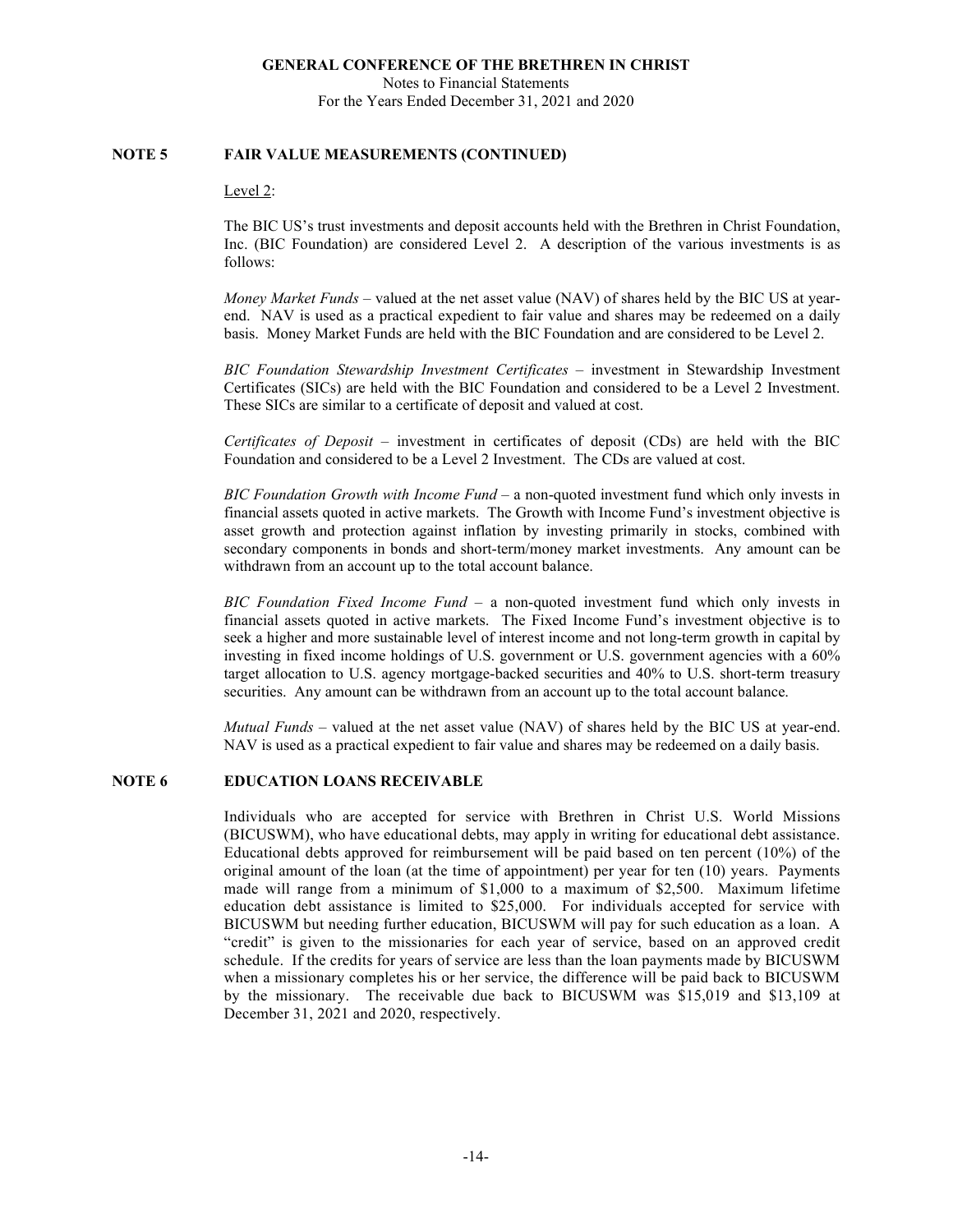Notes to Financial Statements For the Years Ended December 31, 2021 and 2020

### **NOTE 5 FAIR VALUE MEASUREMENTS (CONTINUED)**

Level 2:

The BIC US's trust investments and deposit accounts held with the Brethren in Christ Foundation, Inc. (BIC Foundation) are considered Level 2. A description of the various investments is as follows:

*Money Market Funds* – valued at the net asset value (NAV) of shares held by the BIC US at yearend. NAV is used as a practical expedient to fair value and shares may be redeemed on a daily basis. Money Market Funds are held with the BIC Foundation and are considered to be Level 2.

*BIC Foundation Stewardship Investment Certificates* – investment in Stewardship Investment Certificates (SICs) are held with the BIC Foundation and considered to be a Level 2 Investment. These SICs are similar to a certificate of deposit and valued at cost.

*Certificates of Deposit* – investment in certificates of deposit (CDs) are held with the BIC Foundation and considered to be a Level 2 Investment. The CDs are valued at cost.

*BIC Foundation Growth with Income Fund* – a non-quoted investment fund which only invests in financial assets quoted in active markets. The Growth with Income Fund's investment objective is asset growth and protection against inflation by investing primarily in stocks, combined with secondary components in bonds and short-term/money market investments. Any amount can be withdrawn from an account up to the total account balance.

*BIC Foundation Fixed Income Fund* – a non-quoted investment fund which only invests in financial assets quoted in active markets. The Fixed Income Fund's investment objective is to seek a higher and more sustainable level of interest income and not long-term growth in capital by investing in fixed income holdings of U.S. government or U.S. government agencies with a 60% target allocation to U.S. agency mortgage-backed securities and 40% to U.S. short-term treasury securities. Any amount can be withdrawn from an account up to the total account balance.

*Mutual Funds* – valued at the net asset value (NAV) of shares held by the BIC US at year-end. NAV is used as a practical expedient to fair value and shares may be redeemed on a daily basis.

### **NOTE 6 EDUCATION LOANS RECEIVABLE**

Individuals who are accepted for service with Brethren in Christ U.S. World Missions (BICUSWM), who have educational debts, may apply in writing for educational debt assistance. Educational debts approved for reimbursement will be paid based on ten percent (10%) of the original amount of the loan (at the time of appointment) per year for ten (10) years. Payments made will range from a minimum of \$1,000 to a maximum of \$2,500. Maximum lifetime education debt assistance is limited to \$25,000. For individuals accepted for service with BICUSWM but needing further education, BICUSWM will pay for such education as a loan. A "credit" is given to the missionaries for each year of service, based on an approved credit schedule. If the credits for years of service are less than the loan payments made by BICUSWM when a missionary completes his or her service, the difference will be paid back to BICUSWM by the missionary. The receivable due back to BICUSWM was \$15,019 and \$13,109 at December 31, 2021 and 2020, respectively.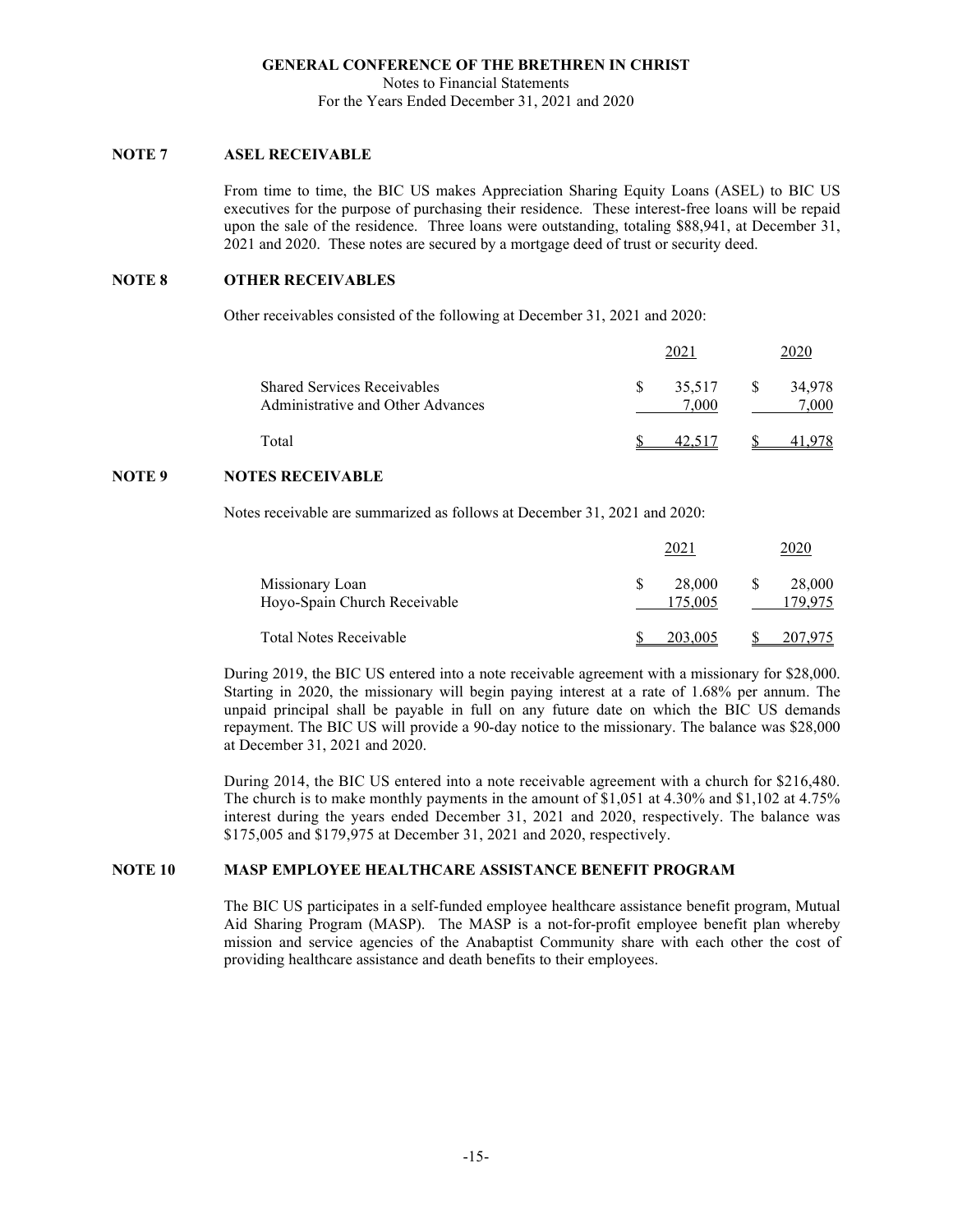Notes to Financial Statements For the Years Ended December 31, 2021 and 2020

# **NOTE 7 ASEL RECEIVABLE**

From time to time, the BIC US makes Appreciation Sharing Equity Loans (ASEL) to BIC US executives for the purpose of purchasing their residence. These interest-free loans will be repaid upon the sale of the residence. Three loans were outstanding, totaling \$88,941, at December 31, 2021 and 2020. These notes are secured by a mortgage deed of trust or security deed.

### **NOTE 8 OTHER RECEIVABLES**

Other receivables consisted of the following at December 31, 2021 and 2020:

| <b>Shared Services Receivables</b><br>Administrative and Other Advances | 35.517<br><sup>7</sup> 000 | - S | 34.978<br>7.000 |
|-------------------------------------------------------------------------|----------------------------|-----|-----------------|
| Total                                                                   |                            |     |                 |

### **NOTE 9 NOTES RECEIVABLE**

Notes receivable are summarized as follows at December 31, 2021 and 2020:

|                                                 |  | 2021              |   | 2020              |
|-------------------------------------------------|--|-------------------|---|-------------------|
| Missionary Loan<br>Hoyo-Spain Church Receivable |  | 28,000<br>175.005 | S | 28,000<br>179.975 |
| Total Notes Receivable                          |  | 203.005           |   |                   |

During 2019, the BIC US entered into a note receivable agreement with a missionary for \$28,000. Starting in 2020, the missionary will begin paying interest at a rate of 1.68% per annum. The unpaid principal shall be payable in full on any future date on which the BIC US demands repayment. The BIC US will provide a 90-day notice to the missionary. The balance was \$28,000 at December 31, 2021 and 2020.

During 2014, the BIC US entered into a note receivable agreement with a church for \$216,480. The church is to make monthly payments in the amount of \$1,051 at 4.30% and \$1,102 at 4.75% interest during the years ended December 31, 2021 and 2020, respectively. The balance was \$175,005 and \$179,975 at December 31, 2021 and 2020, respectively.

### **NOTE 10 MASP EMPLOYEE HEALTHCARE ASSISTANCE BENEFIT PROGRAM**

The BIC US participates in a self-funded employee healthcare assistance benefit program, Mutual Aid Sharing Program (MASP). The MASP is a not-for-profit employee benefit plan whereby mission and service agencies of the Anabaptist Community share with each other the cost of providing healthcare assistance and death benefits to their employees.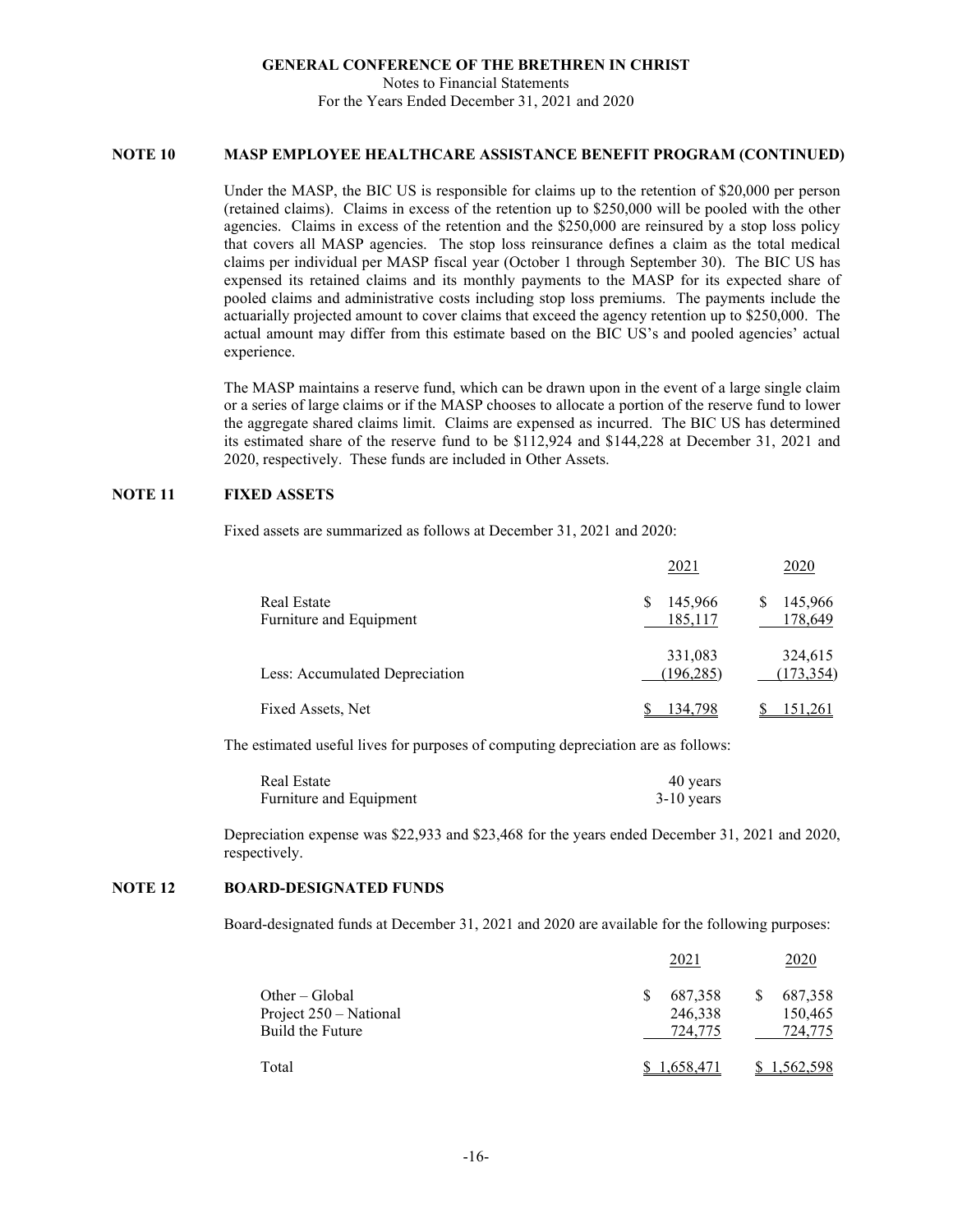Notes to Financial Statements For the Years Ended December 31, 2021 and 2020

# **NOTE 10 MASP EMPLOYEE HEALTHCARE ASSISTANCE BENEFIT PROGRAM (CONTINUED)**

Under the MASP, the BIC US is responsible for claims up to the retention of \$20,000 per person (retained claims). Claims in excess of the retention up to \$250,000 will be pooled with the other agencies. Claims in excess of the retention and the \$250,000 are reinsured by a stop loss policy that covers all MASP agencies. The stop loss reinsurance defines a claim as the total medical claims per individual per MASP fiscal year (October 1 through September 30). The BIC US has expensed its retained claims and its monthly payments to the MASP for its expected share of pooled claims and administrative costs including stop loss premiums. The payments include the actuarially projected amount to cover claims that exceed the agency retention up to \$250,000. The actual amount may differ from this estimate based on the BIC US's and pooled agencies' actual experience.

The MASP maintains a reserve fund, which can be drawn upon in the event of a large single claim or a series of large claims or if the MASP chooses to allocate a portion of the reserve fund to lower the aggregate shared claims limit. Claims are expensed as incurred. The BIC US has determined its estimated share of the reserve fund to be \$112,924 and \$144,228 at December 31, 2021 and 2020, respectively. These funds are included in Other Assets.

### **NOTE 11 FIXED ASSETS**

Fixed assets are summarized as follows at December 31, 2021 and 2020:

|                                        | 2021                    | <u>2020</u>           |
|----------------------------------------|-------------------------|-----------------------|
| Real Estate<br>Furniture and Equipment | 145,966<br>S<br>185,117 | 145,966<br>178,649    |
| Less: Accumulated Depreciation         | 331,083<br>(196, 285)   | 324,615<br>(173, 354) |
| Fixed Assets, Net                      | 34.798                  |                       |

The estimated useful lives for purposes of computing depreciation are as follows:

| Real Estate             | 40 years     |
|-------------------------|--------------|
| Furniture and Equipment | $3-10$ years |

Depreciation expense was \$22,933 and \$23,468 for the years ended December 31, 2021 and 2020, respectively.

#### **NOTE 12 BOARD-DESIGNATED FUNDS**

Board-designated funds at December 31, 2021 and 2020 are available for the following purposes:

|                                                              | 2021                          | 2020                          |
|--------------------------------------------------------------|-------------------------------|-------------------------------|
| $Other-Global$<br>Project 250 – National<br>Build the Future | 687,358<br>246,338<br>724,775 | 687,358<br>150,465<br>724,775 |
| Total                                                        | 1.658.471                     | 1.562.598                     |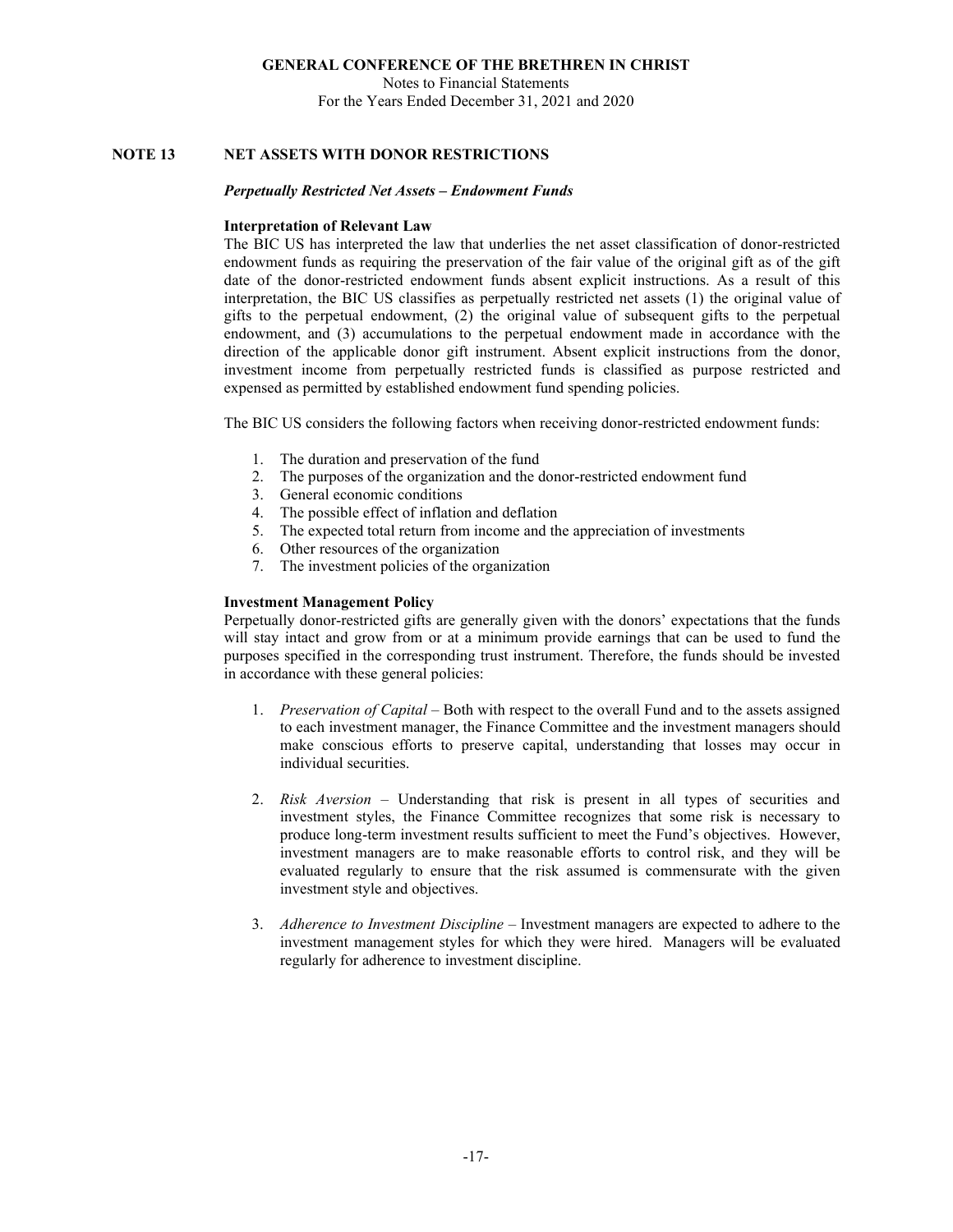Notes to Financial Statements For the Years Ended December 31, 2021 and 2020

# **NOTE 13 NET ASSETS WITH DONOR RESTRICTIONS**

#### *Perpetually Restricted Net Assets – Endowment Funds*

#### **Interpretation of Relevant Law**

The BIC US has interpreted the law that underlies the net asset classification of donor-restricted endowment funds as requiring the preservation of the fair value of the original gift as of the gift date of the donor-restricted endowment funds absent explicit instructions. As a result of this interpretation, the BIC US classifies as perpetually restricted net assets (1) the original value of gifts to the perpetual endowment, (2) the original value of subsequent gifts to the perpetual endowment, and (3) accumulations to the perpetual endowment made in accordance with the direction of the applicable donor gift instrument. Absent explicit instructions from the donor, investment income from perpetually restricted funds is classified as purpose restricted and expensed as permitted by established endowment fund spending policies.

The BIC US considers the following factors when receiving donor-restricted endowment funds:

- 1. The duration and preservation of the fund
- 2. The purposes of the organization and the donor-restricted endowment fund
- 3. General economic conditions
- 4. The possible effect of inflation and deflation
- 5. The expected total return from income and the appreciation of investments
- 6. Other resources of the organization
- 7. The investment policies of the organization

### **Investment Management Policy**

Perpetually donor-restricted gifts are generally given with the donors' expectations that the funds will stay intact and grow from or at a minimum provide earnings that can be used to fund the purposes specified in the corresponding trust instrument. Therefore, the funds should be invested in accordance with these general policies:

- 1. *Preservation of Capital* Both with respect to the overall Fund and to the assets assigned to each investment manager, the Finance Committee and the investment managers should make conscious efforts to preserve capital, understanding that losses may occur in individual securities.
- 2. *Risk Aversion –* Understanding that risk is present in all types of securities and investment styles, the Finance Committee recognizes that some risk is necessary to produce long-term investment results sufficient to meet the Fund's objectives. However, investment managers are to make reasonable efforts to control risk, and they will be evaluated regularly to ensure that the risk assumed is commensurate with the given investment style and objectives.
- 3. *Adherence to Investment Discipline*  Investment managers are expected to adhere to the investment management styles for which they were hired. Managers will be evaluated regularly for adherence to investment discipline.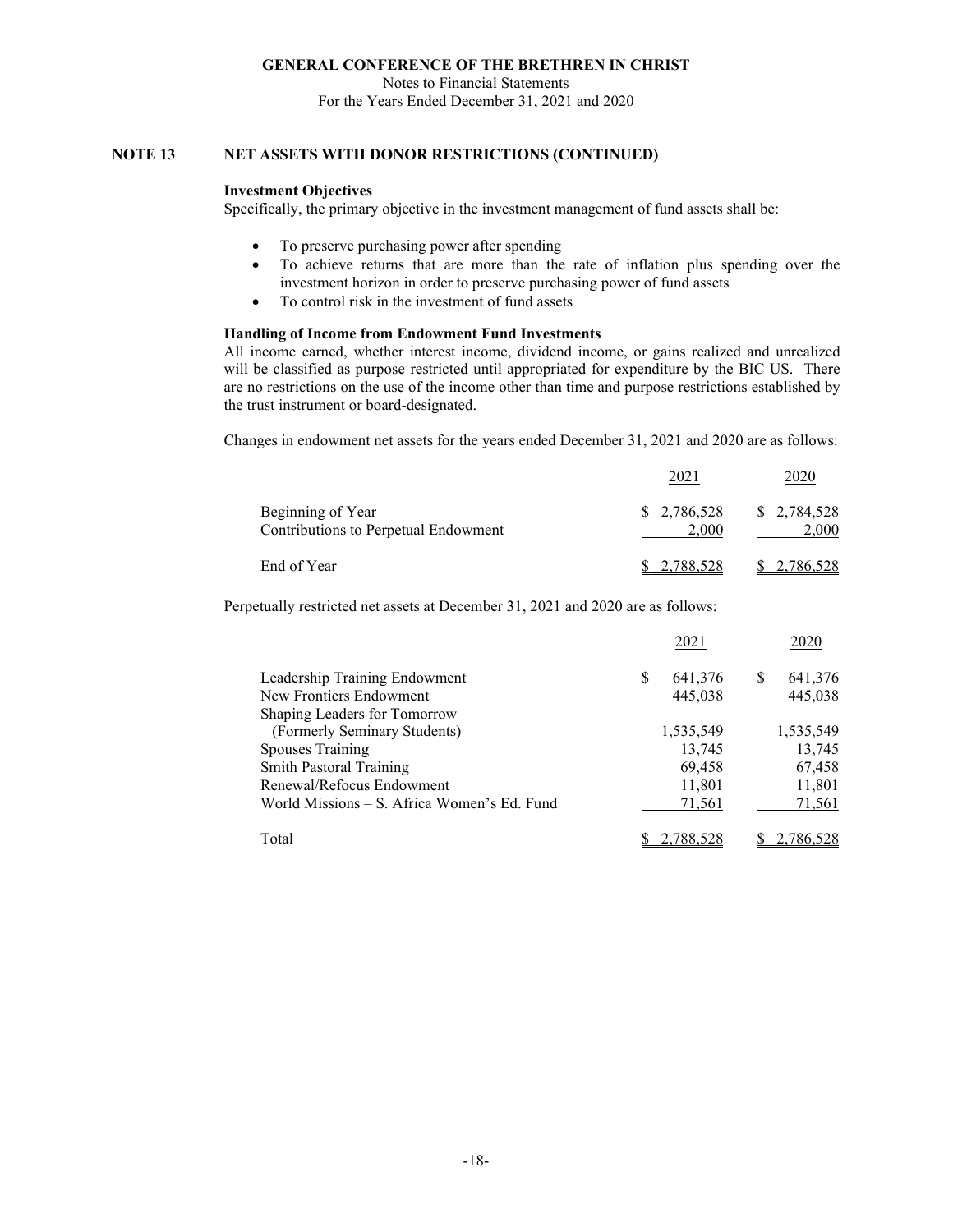Notes to Financial Statements For the Years Ended December 31, 2021 and 2020

### **NOTE 13 NET ASSETS WITH DONOR RESTRICTIONS (CONTINUED)**

#### **Investment Objectives**

Specifically, the primary objective in the investment management of fund assets shall be:

- To preserve purchasing power after spending
- To achieve returns that are more than the rate of inflation plus spending over the investment horizon in order to preserve purchasing power of fund assets
- To control risk in the investment of fund assets

### **Handling of Income from Endowment Fund Investments**

All income earned, whether interest income, dividend income, or gains realized and unrealized will be classified as purpose restricted until appropriated for expenditure by the BIC US. There are no restrictions on the use of the income other than time and purpose restrictions established by the trust instrument or board-designated.

Changes in endowment net assets for the years ended December 31, 2021 and 2020 are as follows:

| Beginning of Year<br>Contributions to Perpetual Endowment | \$ 2,786,528<br>2.000 | \$2,784,528<br>2.000 |
|-----------------------------------------------------------|-----------------------|----------------------|
| End of Year                                               | \$ 2,788,528          | 2,786,528            |

Perpetually restricted net assets at December 31, 2021 and 2020 are as follows:

|                                             |   | 2021      |   |           |
|---------------------------------------------|---|-----------|---|-----------|
| Leadership Training Endowment               | S | 641,376   | S | 641,376   |
| New Frontiers Endowment                     |   | 445,038   |   | 445,038   |
| Shaping Leaders for Tomorrow                |   |           |   |           |
| (Formerly Seminary Students)                |   | 1,535,549 |   | 1,535,549 |
| <b>Spouses Training</b>                     |   | 13,745    |   | 13,745    |
| <b>Smith Pastoral Training</b>              |   | 69.458    |   | 67,458    |
| Renewal/Refocus Endowment                   |   | 11,801    |   | 11,801    |
| World Missions – S. Africa Women's Ed. Fund |   | 71,561    |   | 71,561    |
| Total                                       |   |           |   | 2,786,528 |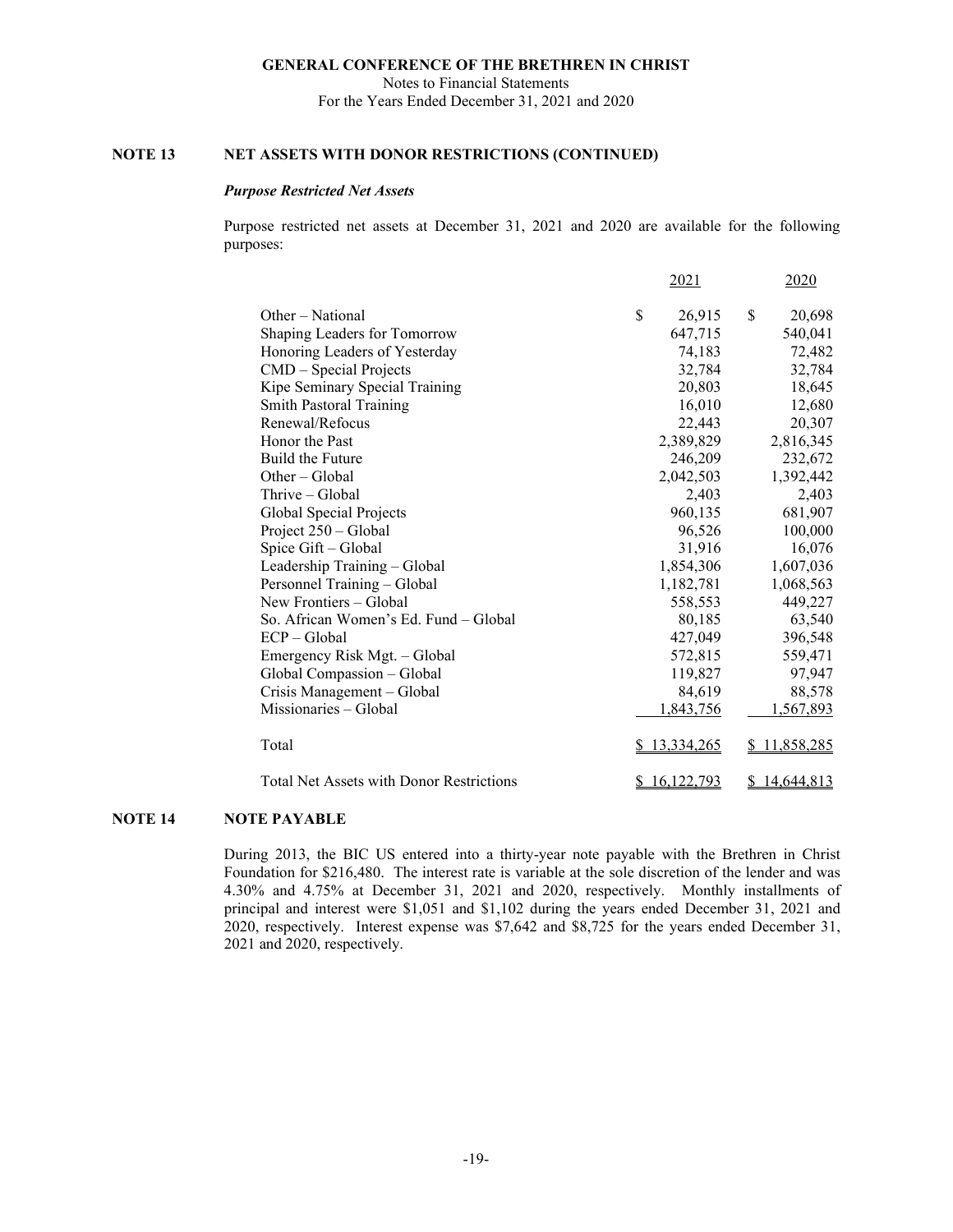Notes to Financial Statements For the Years Ended December 31, 2021 and 2020

### **NOTE 13 NET ASSETS WITH DONOR RESTRICTIONS (CONTINUED)**

### *Purpose Restricted Net Assets*

Purpose restricted net assets at December 31, 2021 and 2020 are available for the following purposes:

|                                                 |    | <u> 2021</u> | <u>2020</u>         |
|-------------------------------------------------|----|--------------|---------------------|
| Other – National                                | \$ | 26,915       | \$<br>20,698        |
| Shaping Leaders for Tomorrow                    |    | 647,715      | 540,041             |
| Honoring Leaders of Yesterday                   |    | 74,183       | 72,482              |
| CMD – Special Projects                          |    | 32,784       | 32,784              |
| Kipe Seminary Special Training                  |    | 20,803       | 18,645              |
| <b>Smith Pastoral Training</b>                  |    | 16,010       | 12,680              |
| Renewal/Refocus                                 |    | 22,443       | 20,307              |
| Honor the Past                                  |    | 2,389,829    | 2,816,345           |
| Build the Future                                |    | 246,209      | 232,672             |
| Other – Global                                  |    | 2,042,503    | 1,392,442           |
| Thrive - Global                                 |    | 2,403        | 2,403               |
| Global Special Projects                         |    | 960,135      | 681,907             |
| Project 250 – Global                            |    | 96,526       | 100,000             |
| Spice Gift - Global                             |    | 31,916       | 16,076              |
| Leadership Training - Global                    |    | 1,854,306    | 1,607,036           |
| Personnel Training - Global                     |    | 1,182,781    | 1,068,563           |
| New Frontiers – Global                          |    | 558,553      | 449,227             |
| So. African Women's Ed. Fund – Global           |    | 80,185       | 63,540              |
| ECP - Global                                    |    | 427,049      | 396,548             |
| Emergency Risk Mgt. - Global                    |    | 572,815      | 559,471             |
| Global Compassion - Global                      |    | 119,827      | 97,947              |
| Crisis Management - Global                      |    | 84,619       | 88,578              |
| Missionaries - Global                           |    | 1,843,756    | 1,567,893           |
| Total                                           | S  | 13,334,265   | <u>11,858,285</u>   |
| <b>Total Net Assets with Donor Restrictions</b> | S  | 16,122,793   | <u>\$14,644,813</u> |

### **NOTE 14 NOTE PAYABLE**

During 2013, the BIC US entered into a thirty-year note payable with the Brethren in Christ Foundation for \$216,480. The interest rate is variable at the sole discretion of the lender and was 4.30% and 4.75% at December 31, 2021 and 2020, respectively. Monthly installments of principal and interest were \$1,051 and \$1,102 during the years ended December 31, 2021 and 2020, respectively. Interest expense was \$7,642 and \$8,725 for the years ended December 31, 2021 and 2020, respectively.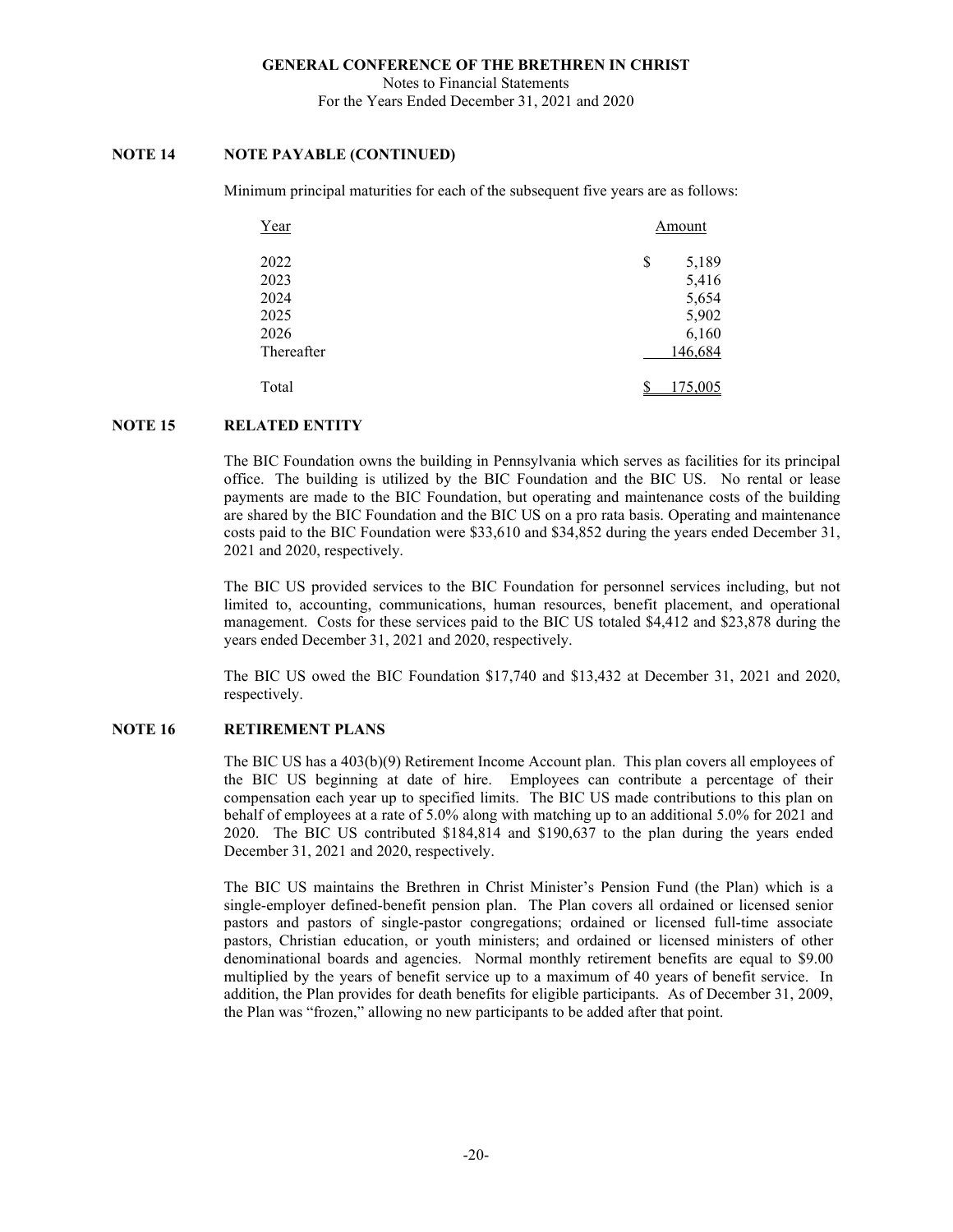Notes to Financial Statements For the Years Ended December 31, 2021 and 2020

### **NOTE 14 NOTE PAYABLE (CONTINUED)**

Minimum principal maturities for each of the subsequent five years are as follows:

| Year       | Amount      |
|------------|-------------|
| 2022       | 5,189<br>\$ |
| 2023       | 5,416       |
| 2024       | 5,654       |
| 2025       | 5,902       |
| 2026       | 6,160       |
| Thereafter | 146,684     |
| Total      | 75,005      |

### **NOTE 15 RELATED ENTITY**

The BIC Foundation owns the building in Pennsylvania which serves as facilities for its principal office. The building is utilized by the BIC Foundation and the BIC US. No rental or lease payments are made to the BIC Foundation, but operating and maintenance costs of the building are shared by the BIC Foundation and the BIC US on a pro rata basis. Operating and maintenance costs paid to the BIC Foundation were \$33,610 and \$34,852 during the years ended December 31, 2021 and 2020, respectively.

The BIC US provided services to the BIC Foundation for personnel services including, but not limited to, accounting, communications, human resources, benefit placement, and operational management. Costs for these services paid to the BIC US totaled \$4,412 and \$23,878 during the years ended December 31, 2021 and 2020, respectively.

The BIC US owed the BIC Foundation \$17,740 and \$13,432 at December 31, 2021 and 2020, respectively.

### **NOTE 16 RETIREMENT PLANS**

The BIC US has a 403(b)(9) Retirement Income Account plan. This plan covers all employees of the BIC US beginning at date of hire. Employees can contribute a percentage of their compensation each year up to specified limits. The BIC US made contributions to this plan on behalf of employees at a rate of 5.0% along with matching up to an additional 5.0% for 2021 and 2020. The BIC US contributed \$184,814 and \$190,637 to the plan during the years ended December 31, 2021 and 2020, respectively.

The BIC US maintains the Brethren in Christ Minister's Pension Fund (the Plan) which is a single-employer defined-benefit pension plan. The Plan covers all ordained or licensed senior pastors and pastors of single-pastor congregations; ordained or licensed full-time associate pastors, Christian education, or youth ministers; and ordained or licensed ministers of other denominational boards and agencies. Normal monthly retirement benefits are equal to \$9.00 multiplied by the years of benefit service up to a maximum of 40 years of benefit service. In addition, the Plan provides for death benefits for eligible participants. As of December 31, 2009, the Plan was "frozen," allowing no new participants to be added after that point.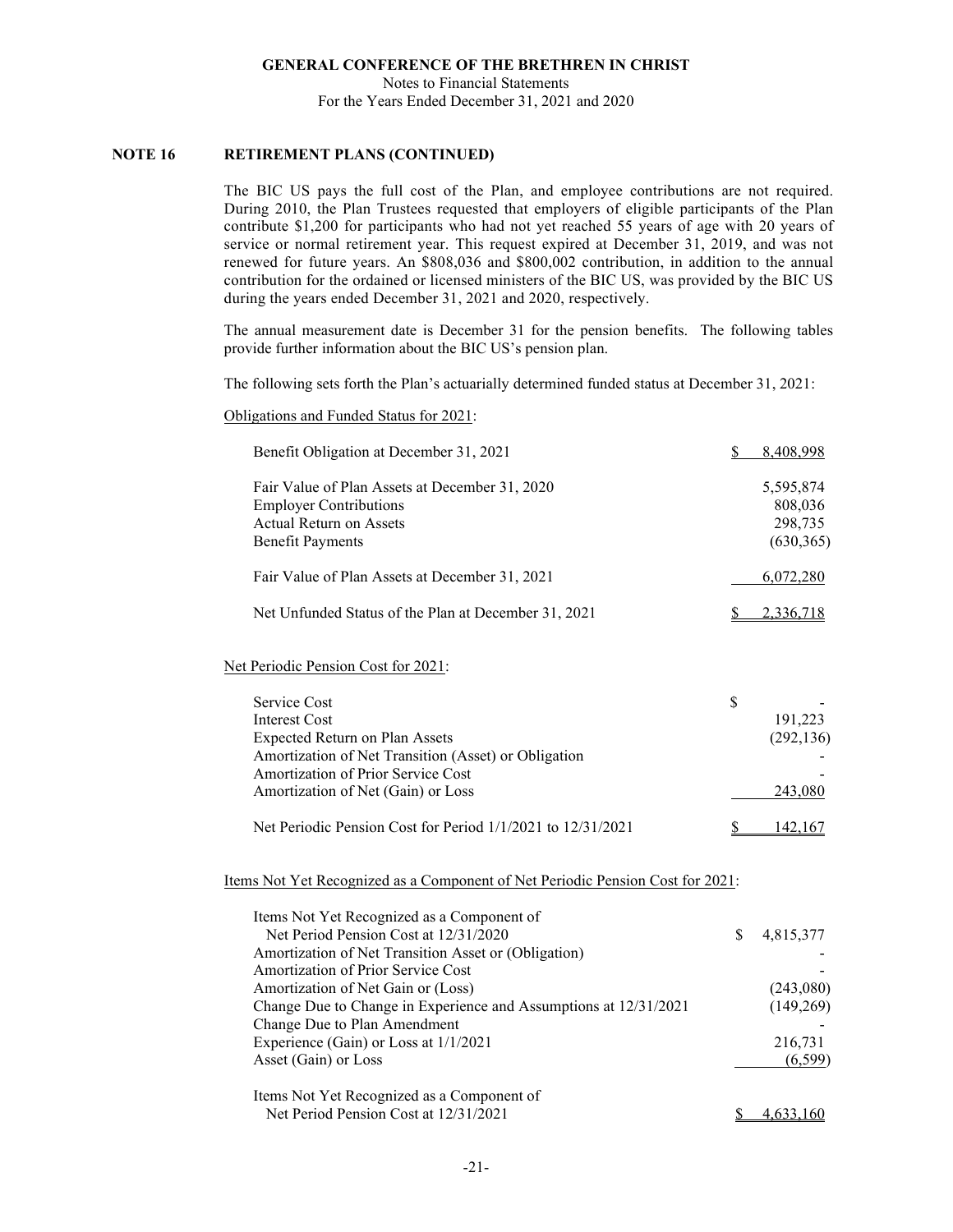Notes to Financial Statements For the Years Ended December 31, 2021 and 2020

## **NOTE 16 RETIREMENT PLANS (CONTINUED)**

The BIC US pays the full cost of the Plan, and employee contributions are not required. During 2010, the Plan Trustees requested that employers of eligible participants of the Plan contribute \$1,200 for participants who had not yet reached 55 years of age with 20 years of service or normal retirement year. This request expired at December 31, 2019, and was not renewed for future years. An \$808,036 and \$800,002 contribution, in addition to the annual contribution for the ordained or licensed ministers of the BIC US, was provided by the BIC US during the years ended December 31, 2021 and 2020, respectively.

The annual measurement date is December 31 for the pension benefits. The following tables provide further information about the BIC US's pension plan.

The following sets forth the Plan's actuarially determined funded status at December 31, 2021:

Obligations and Funded Status for 2021:

| Benefit Obligation at December 31, 2021                                                                                                                                                                                 | \$<br>8,408,998                               |
|-------------------------------------------------------------------------------------------------------------------------------------------------------------------------------------------------------------------------|-----------------------------------------------|
| Fair Value of Plan Assets at December 31, 2020<br><b>Employer Contributions</b><br><b>Actual Return on Assets</b><br><b>Benefit Payments</b>                                                                            | 5,595,874<br>808,036<br>298,735<br>(630, 365) |
| Fair Value of Plan Assets at December 31, 2021                                                                                                                                                                          | 6,072,280                                     |
| Net Unfunded Status of the Plan at December 31, 2021                                                                                                                                                                    | 2,336,718                                     |
| Net Periodic Pension Cost for 2021:                                                                                                                                                                                     |                                               |
| Service Cost<br><b>Interest Cost</b><br><b>Expected Return on Plan Assets</b><br>Amortization of Net Transition (Asset) or Obligation<br>Amortization of Prior Service Cost                                             | \$<br>191,223<br>(292, 136)                   |
| Amortization of Net (Gain) or Loss<br>Net Periodic Pension Cost for Period 1/1/2021 to 12/31/2021                                                                                                                       | 243,080<br>142,167                            |
| Items Not Yet Recognized as a Component of Net Periodic Pension Cost for 2021:                                                                                                                                          |                                               |
| Items Not Yet Recognized as a Component of<br>Net Period Pension Cost at 12/31/2020<br>Amortization of Net Transition Asset or (Obligation)<br>Amortization of Prior Service Cost<br>Amortization of Net Gain or (Loss) | \$<br>4,815,377<br>(243,080)                  |
| Change Due to Change in Experience and Assumptions at 12/31/2021<br>Change Due to Plan Amendment<br>Experience (Gain) or Loss at 1/1/2021<br>Asset (Gain) or Loss                                                       | (149,269)<br>216,731<br>(6, 599)              |
| Items Not Yet Recognized as a Component of<br>Net Period Pension Cost at 12/31/2021                                                                                                                                     | \$<br>4,633,160                               |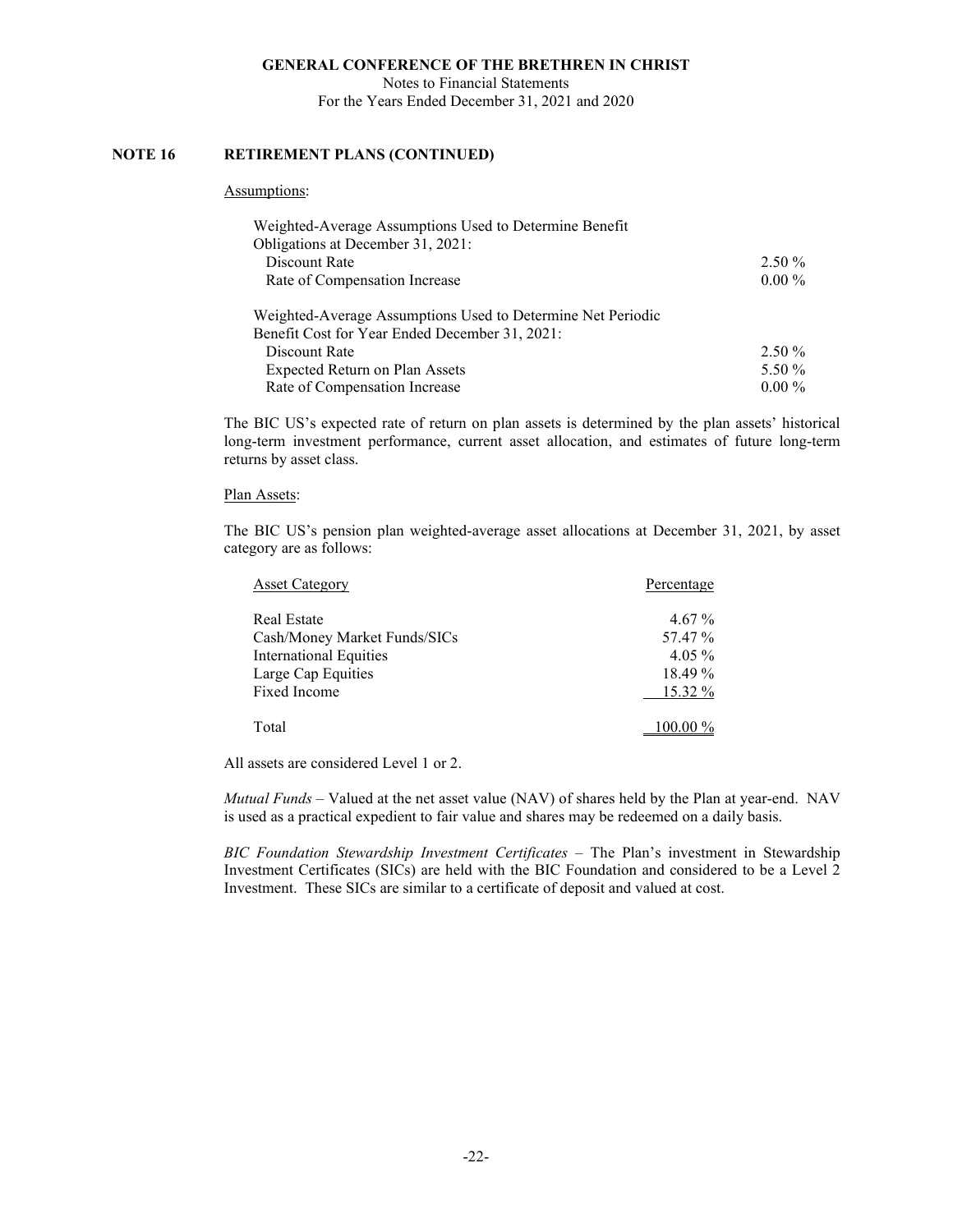Notes to Financial Statements For the Years Ended December 31, 2021 and 2020

## **NOTE 16 RETIREMENT PLANS (CONTINUED)**

#### Assumptions:

| Weighted-Average Assumptions Used to Determine Benefit      |          |
|-------------------------------------------------------------|----------|
| Obligations at December 31, 2021:                           |          |
| Discount Rate                                               | $2.50\%$ |
| Rate of Compensation Increase                               | $0.00\%$ |
| Weighted-Average Assumptions Used to Determine Net Periodic |          |
| Benefit Cost for Year Ended December 31, 2021:              |          |
| Discount Rate                                               | $2.50\%$ |
| Expected Return on Plan Assets                              | 5.50 %   |
| Rate of Compensation Increase                               | $0.00\%$ |

The BIC US's expected rate of return on plan assets is determined by the plan assets' historical long-term investment performance, current asset allocation, and estimates of future long-term returns by asset class.

#### Plan Assets:

The BIC US's pension plan weighted-average asset allocations at December 31, 2021, by asset category are as follows:

| <b>Asset Category</b>         | Percentage |
|-------------------------------|------------|
| Real Estate                   | 4.67 $%$   |
| Cash/Money Market Funds/SICs  | 57.47 %    |
| <b>International Equities</b> | $4.05\%$   |
| Large Cap Equities            | 18.49 %    |
| Fixed Income                  | $15.32\%$  |
|                               |            |
| Total                         |            |

All assets are considered Level 1 or 2.

*Mutual Funds –* Valued at the net asset value (NAV) of shares held by the Plan at year-end. NAV is used as a practical expedient to fair value and shares may be redeemed on a daily basis.

*BIC Foundation Stewardship Investment Certificates –* The Plan's investment in Stewardship Investment Certificates (SICs) are held with the BIC Foundation and considered to be a Level 2 Investment. These SICs are similar to a certificate of deposit and valued at cost.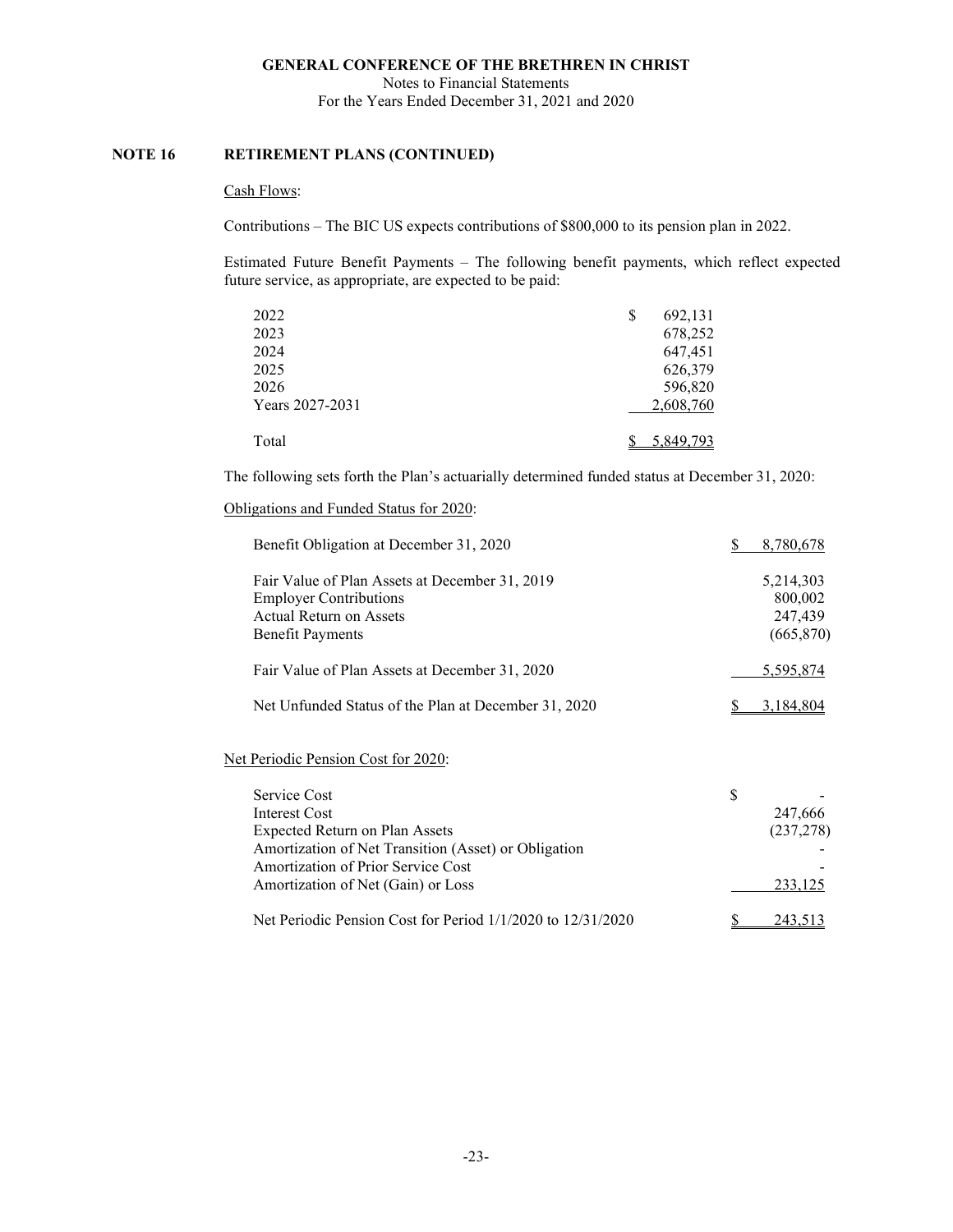Notes to Financial Statements For the Years Ended December 31, 2021 and 2020

### **NOTE 16 RETIREMENT PLANS (CONTINUED)**

### Cash Flows:

Contributions – The BIC US expects contributions of \$800,000 to its pension plan in 2022.

Estimated Future Benefit Payments – The following benefit payments, which reflect expected future service, as appropriate, are expected to be paid:

| 2022            | S | 692,131   |
|-----------------|---|-----------|
| 2023            |   | 678,252   |
| 2024            |   | 647,451   |
| 2025            |   | 626,379   |
| 2026            |   | 596,820   |
| Years 2027-2031 |   | 2,608,760 |
| Total           |   | 5,849,793 |

The following sets forth the Plan's actuarially determined funded status at December 31, 2020:

### Obligations and Funded Status for 2020:

| Benefit Obligation at December 31, 2020              | 8,780,678  |
|------------------------------------------------------|------------|
| Fair Value of Plan Assets at December 31, 2019       | 5,214,303  |
| <b>Employer Contributions</b>                        | 800,002    |
| Actual Return on Assets                              | 247,439    |
| <b>Benefit Payments</b>                              | (665, 870) |
| Fair Value of Plan Assets at December 31, 2020       | 5,595,874  |
| Net Unfunded Status of the Plan at December 31, 2020 | 3,184,804  |
| Net Periodic Pension Cost for 2020:                  |            |
| Service Cost                                         | \$         |
| <b>Interest Cost</b>                                 | 247,666    |
| <b>Expected Return on Plan Assets</b>                | (237, 278) |
| Amortization of Net Transition (Asset) or Obligation |            |
| <b>Amortization of Prior Service Cost</b>            |            |
| Amortization of Net (Gain) or Loss                   | 233,125    |

Net Periodic Pension Cost for Period 1/1/2020 to 12/31/2020 \$ 243,513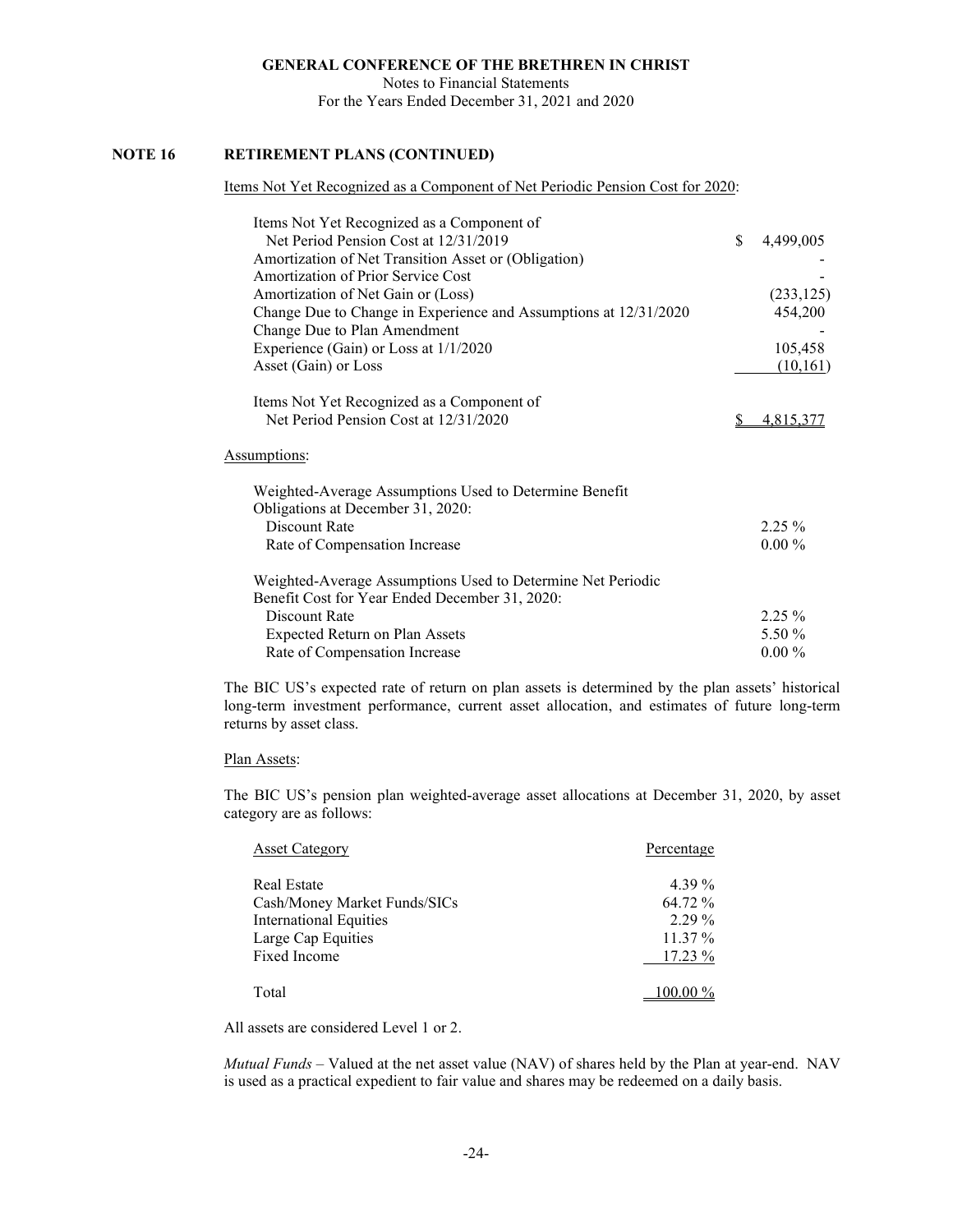Notes to Financial Statements For the Years Ended December 31, 2021 and 2020

# **NOTE 16 RETIREMENT PLANS (CONTINUED)**

### Items Not Yet Recognized as a Component of Net Periodic Pension Cost for 2020:

| Items Not Yet Recognized as a Component of                       |                 |
|------------------------------------------------------------------|-----------------|
| Net Period Pension Cost at 12/31/2019                            | \$<br>4,499,005 |
| Amortization of Net Transition Asset or (Obligation)             |                 |
| Amortization of Prior Service Cost                               |                 |
| Amortization of Net Gain or (Loss)                               | (233, 125)      |
| Change Due to Change in Experience and Assumptions at 12/31/2020 | 454,200         |
| Change Due to Plan Amendment                                     |                 |
| Experience (Gain) or Loss at 1/1/2020                            | 105,458         |
| Asset (Gain) or Loss                                             | (10, 161)       |
| Items Not Yet Recognized as a Component of                       |                 |
| Net Period Pension Cost at 12/31/2020                            | 4,815,377       |
| Assumptions:                                                     |                 |
| Weighted-Average Assumptions Used to Determine Benefit           |                 |
| Obligations at December 31, 2020:                                |                 |
| Discount Rate                                                    | $2.25\%$        |
| Rate of Compensation Increase                                    | $0.00\%$        |
| Weighted-Average Assumptions Used to Determine Net Periodic      |                 |
| Benefit Cost for Year Ended December 31, 2020:                   |                 |
| Discount Rate                                                    | $2.25\%$        |
| <b>Expected Return on Plan Assets</b>                            | 5.50 %          |
| Rate of Compensation Increase                                    | $0.00\%$        |

The BIC US's expected rate of return on plan assets is determined by the plan assets' historical long-term investment performance, current asset allocation, and estimates of future long-term returns by asset class.

#### Plan Assets:

The BIC US's pension plan weighted-average asset allocations at December 31, 2020, by asset category are as follows:

| <b>Asset Category</b>         | Percentage |
|-------------------------------|------------|
| Real Estate                   | 4.39 %     |
| Cash/Money Market Funds/SICs  | 64.72 %    |
| <b>International Equities</b> | $2.29\%$   |
| Large Cap Equities            | $11.37\%$  |
| Fixed Income                  | 17.23 %    |
| Total                         |            |

All assets are considered Level 1 or 2.

*Mutual Funds –* Valued at the net asset value (NAV) of shares held by the Plan at year-end. NAV is used as a practical expedient to fair value and shares may be redeemed on a daily basis.